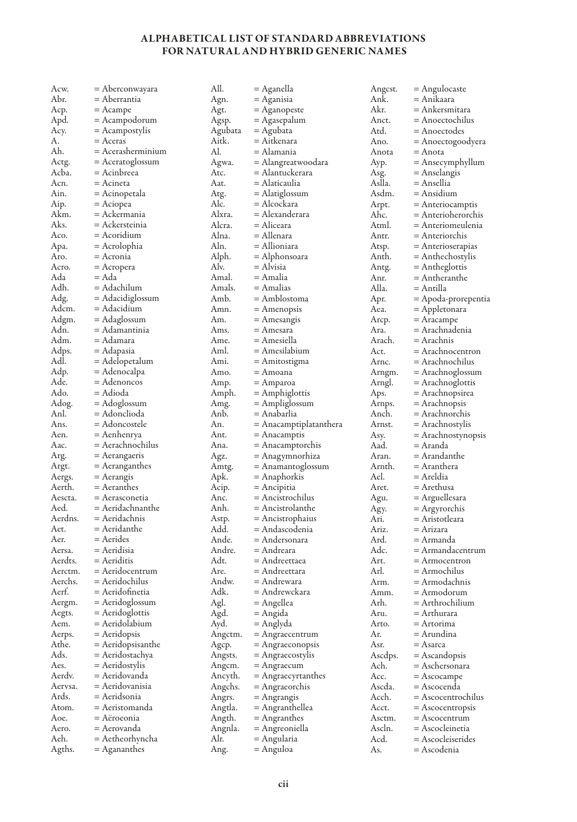## ALPHABETICAL LIST OF STANDARD ABBREVIATIONS FOR NATURAL AND HYBRID GENERIC NAMES

| Acw.           | = Aberconwayara                 | All.         | = Aganella                 | Angest.     | = Angulocaste                    |
|----------------|---------------------------------|--------------|----------------------------|-------------|----------------------------------|
| Abr.           | = Aberrantia                    | Agn.         | = Aganisia                 | Ank.        | = Anikaara                       |
| Acp.           | = Acampe                        | Agt.         | = Aganopeste               | Akr.        | = Ankersmitara                   |
| Apd.           | = Acampodorum                   | Agsp.        | = Agasepalum               | Anct.       | = Anoectochilus                  |
| Acy.           | = Acampostylis                  | Agubata      | = Agubata                  | Atd.        | = Anoectodes                     |
| А.             | $=$ Aceras                      | Aitk.        | = Aitkenara                | Ano.        | = Anoectogoodyera                |
| Ah.            | $=$ Acerasherminium             | Al.          | = Alamania                 | Anota       | = Anota                          |
| Actg.          | $=$ Aceratoglossum              | Agwa.        | = Alangreatwoodara         | Ayp.        | = Ansecymphyllum                 |
| Acba.          | = Acinbreea                     | Atc.         | = Alantuckerara            | Asg.        | = Anselangis                     |
| Acn.           | = Acineta                       | Aat.         | = Alaticaulia              | Aslla.      | = Ansellia                       |
| Ain.           |                                 |              |                            | Asdm.       |                                  |
|                | = Acinopetala                   | Atg.         | = Alatiglossum             |             | = Ansidium                       |
| Aip.           | = Aciopea                       | Alc.         | = Alcockara                | Arpt.       | $=$ Anteriocamptis               |
| Akm.           | = Ackermania                    | Alxra.       | = Alexanderara             | Ahc.        | = Anterioherorchis               |
| Aks.           | = Ackersteinia                  | Alcra.       | = Aliceara                 | Atml.       | = Anteriomeulenia                |
| Aco.           | = Acoridium                     | Alna.        | = Allenara                 | Antr.       | = Anteriorchis                   |
| Apa.           | = Acrolophia                    | Aln.         | = Allioniara               | Atsp.       | = Anterioserapias                |
| Aro.           | = Acronia                       | Alph.        | = Alphonsoara              | Anth.       | = Anthechostylis                 |
| Acro.          | = Acropera                      | Alv.         | = Alvisia                  | Antg.       | = Antheglottis                   |
| Ada            | = Ada                           | Amal.        | = Amalia                   | Anr.        | = Antheranthe                    |
| Adh.           | = Adachilum                     | Amals.       | = Amalias                  | Alla.       | = Antilla                        |
| Adg.           | = Adacidiglossum                | Amb.         | = Amblostoma               | Apr.        | = Apoda-prorepentia              |
| Adcm.          | = Adacidium                     | Amn.         | $=$ Amenopsis              | Aea.        | = Appletonara                    |
| Adgm.          | = Adaglossum                    | Am.          | = Amesangis                | Arcp.       | = Aracampe                       |
| Adn.           | = Adamantinia                   | Ams.         | = Amesara                  | Ara.        | = Arachnadenia                   |
| Adm.           | = Adamara                       | Ame.         | = Amesiella                | Arach.      | = Arachnis                       |
| Adps.          | = Adapasia                      | Aml.         | = Amesilabium              | Act.        | = Arachnocentron                 |
| Adl.           |                                 | Ami.         |                            | Arnc.       | = Arachnochilus                  |
|                | = Adelopetalum                  |              | = Amitostigma              |             |                                  |
| Adp.           | = Adenocalpa                    | Amo.         | = Amoana                   | Arngm.      | = Arachnoglossum                 |
| Ade.           | = Adenoncos                     | Amp.         | = Amparoa                  | Arngl.      | = Arachnoglottis                 |
| Ado.           | = Adioda                        | Amph.        | = Amphiglottis             | Aps.        | = Arachnopsirea                  |
| Adog.          | = Adoglossum                    | Amg.         | = Ampliglossum             | Arnps.      | = Arachnopsis                    |
| Anl.           | = Adonclioda                    | Anb.         | = Anabarlia                | Anch.       | = Arachnorchis                   |
| Ans.           | = Adoncostele                   | An.          | = Anacamptiplatanthera     | Arnst.      | = Arachnostylis                  |
| Aen.           | = Aenhenrya                     | Ant.         | = Anacamptis               | Asy.        | = Arachnostynopsis               |
| Aac.           | = Aerachnochilus                | Ana.         | = Anacamptorchis           | Aad.        | = Aranda                         |
| Arg.           | $=$ Aerangaeris                 | Agz.         | = Anagymnorhiza            | Aran.       | = Arandanthe                     |
| Argt.          | $=$ Aeranganthes                | Amtg.        | = Anamantoglossum          | Arnth.      | = Aranthera                      |
| Aergs.         | $=$ Aerangis                    | Apk.         | = Anaphorkis               | Ael.        | = Areldia                        |
| Aerth.         | = Aeranthes                     | Acip.        | = Ancipitia                | Aret.       |                                  |
| Aescta.        |                                 |              |                            |             | = Arethusa                       |
|                | = Aerasconetia                  | Anc.         | = Ancistrochilus           |             |                                  |
| Aed.           | = Aeridachnanthe                | Anh.         |                            | Agu.        | = Arguellesara                   |
|                |                                 |              | = Ancistrolanthe           | Agy.        | = Argyrorchis                    |
| Aerdns.        | = Aeridachnis                   | Astp.        | = Ancistrophaius           | Ari.        | = Aristotleara                   |
| Aet.           | $=$ Aeridanthe                  | Add.         | = Andascodenia             | Ariz.       | = Arizara                        |
| Aer.           | $=$ Aerides                     | Ande.        | = Andersonara              | Ard.        | = Armanda                        |
| Aersa.         | = Aeridisia                     | Andre.       | = Andreara                 | Adc.        | = Armandacentrum                 |
| Aerdts.        | $=$ Aeriditis                   | Adt.         | = Andreettaea              | Art.        | = Armocentron                    |
| Aerctm.        | = Aeridocentrum                 | Are.         | = Andreettara              | Arl.        | = Armochilus                     |
| Aerchs.        | = Aeridochilus                  | Andw.        | = Andrewara                | Arm.        | = Armodachnis                    |
| Aerf.          | = Aeridofinetia                 | Adk.         | = Andrewckara              | Amm.        | = Armodorum                      |
| Aergm.         | = Aeridoglossum                 | Agl.         | = Angellea                 | Arh.        | = Arthrochilium                  |
| Aegts.         | = Aeridoglottis                 | Agd.         | = Angida                   | Aru.        | = Arthurara                      |
| Aem.           | = Aeridolabium                  | Ayd.         | = Anglyda                  | Arto.       | = Artorima                       |
| Aerps.         | = Aeridopsis                    | Angctm.      | = Angraecentrum            | Ar.         | = Arundina                       |
| Athe.          | = Aeridopsisanthe               | Agcp.        | = Angraeconopsis           | Asr.        | = Asarca                         |
| Ads.           | = Aeridostachya                 | Angsts.      | = Angraecostylis           | Ascdps.     | = Ascandopsis                    |
| Aes.           | $=$ Aeridostylis                | Angcm.       | = Angraecum                | Ach.        | = Aschersonara                   |
| Aerdy.         | = Aeridovanda                   | Ancyth.      |                            | Acc.        | $=$ Ascocampe                    |
| Aervsa.        | = Aeridovanisia                 |              | = Angraecyrtanthes         | Ascda.      | = Ascocenda                      |
| Ards.          | = Aeridsonia                    | Angchs.      | = Angraeorchis             | Acch.       |                                  |
| Atom.          |                                 | Angrs.       | = Angrangis                |             | = Ascocentrochilus               |
|                | = Aeristomanda                  | Angtla.      | = Angranthellea            | Acct.       | = Ascocentropsis                 |
| Aoe.           | = Aëroeonia                     | Angth.       | = Angranthes               | Asctm.      | = Ascocentrum                    |
| Aero.          | = Aerovanda                     | Angnla.      | = Angreoniella             | Ascln.      | = Ascocleinetia                  |
| Aeh.<br>Agths. | = Aetheorhyncha<br>= Agananthes | Alr.<br>Ang. | = Angularia<br>$=$ Anguloa | Acd.<br>As. | = Ascocleiserides<br>= Ascodenia |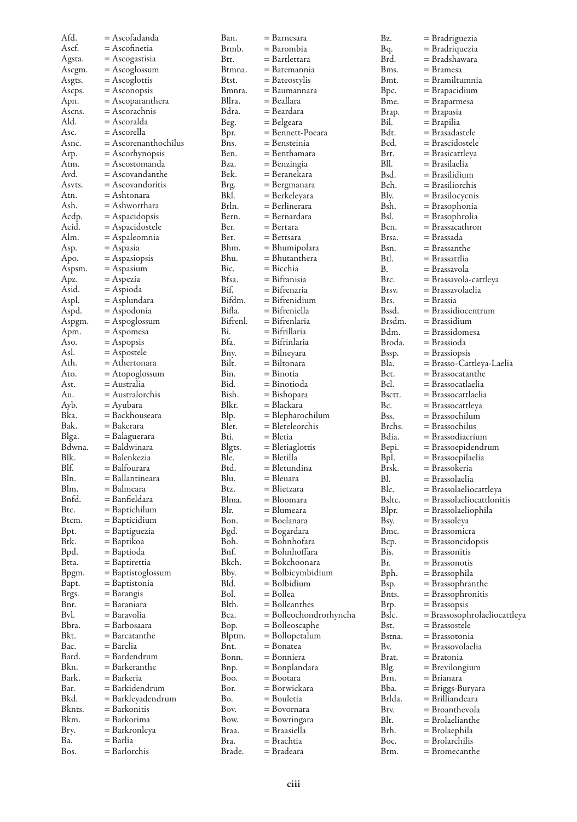| Afd.         | = Ascofadanda               | Ban.           | = Barnesara                         | Bz.           |                                    |
|--------------|-----------------------------|----------------|-------------------------------------|---------------|------------------------------------|
| Ascf.        | = Ascofinetia               | Brmb.          | = Barombia                          | Bq.           | = Bradriguezia<br>= Bradriquezia   |
| Agsta.       | $=$ Ascogastisia            | Btt.           | = Bartlettara                       | Brd.          | = Bradshawara                      |
| Ascgm.       | $=$ Ascoglossum             | Btmna.         | = Batemannia                        | Bms.          | = Bramesa                          |
| Asgts.       | $=$ Ascoglottis             | Btst.          | = Bateostylis                       | Bmt.          | = Bramiltumnia                     |
| Ascps.       | $=$ Asconopsis              | Bmnra.         | = Baumannara                        | Bpc.          | = Brapacidium                      |
| Apn.         | = Ascoparanthera            | Bllra.         | = Beallara                          | Bme.          | = Braparmesa                       |
| Ascns.       | $=$ Ascorachnis             | Bdra.          | = Beardara                          | Brap.         | = Brapasia                         |
| Ald.         | = Ascoralda                 | Beg.           | = Belgeara                          | Bil.          | = Brapilia                         |
| Asc.         | = Ascorella                 | Bpr.           | = Bennett-Poeara                    | Bdt.          | = Brasadastele                     |
| Asnc.        | $=$ Ascorenanthochilus      | Bns.           | = Bensteinia                        | Bcd.          | = Brascidostele                    |
| Arp.         | = Ascorhynopsis             | Ben.           | = Benthamara                        | Brt.          | = Brasicattleya                    |
| Atm.         | = Ascostomanda              | Bza.           | = Benzingia                         | Bll.          | = Brasilaelia                      |
| Avd.         | = Ascovandanthe             | Bek.           | = Beranekara                        | Bsd.          | = Brasilidium                      |
| Asyts.       | $=$ Ascovandoritis          | Brg.           | = Bergmanara                        | Bch.          | = Brasiliorchis                    |
| Atn.         | = Ashtonara                 | Bkl.           | = Berkeleyara                       | Bly.          | = Brasilocycnis                    |
| Ash.         | = Ashworthara               | Brln.          | = Berlinerara                       | Bsh.          | = Brasophonia                      |
| Acdp.        | $=$ Aspacidopsis            | Bern.          | = Bernardara                        | Bsl.          | = Brasophrolia                     |
| Acid.        | $=$ Aspacidostele           | Ber.           | = Bertara                           | Bcn.          | = Brassacathron                    |
| Alm.         | $=$ Aspaleomnia             | Bet.           | = Bettsara                          | Brsa.         | = Brassada                         |
| Asp.         | = Aspasia                   | Bhm.           | = Bhumipolara                       | Bsn.          | = Brassanthe                       |
| Apo.         | $=$ Aspasiopsis             | Bhu.           | = Bhutanthera                       | Btl.          | = Brassattlia                      |
| Aspsm.       | $=$ Aspasium                | Bic.           | = Bicchia                           | В.            | = Brassavola                       |
| Apz.         | $=$ Aspezia                 | Bfsa.          | = Bifranisia                        | Brc.          | = Brassavola-cattleya              |
| Asid.        | $=$ Aspioda                 | Bif.           | = Bifrenaria                        | Brsv.         | = Brassavolaelia                   |
| Aspl.        | = Asplundara                | Bifdm.         | = Bifrenidium                       | Brs.          | = Brassia                          |
| Aspd.        | = Aspodonia                 | Bifla.         | = Bifreniella                       | Bssd.         | = Brassidiocentrum                 |
| Aspgm.       | $=$ Aspoglossum             | Bifrenl.       | = Bifrenlaria                       | Brsdm.        | = Brassidium                       |
| Apm.         | = Aspomesa                  | Bi.            | = Bifrillaria                       | Bdm.          | = Brassidomesa                     |
| Aso.         | $=$ Aspopsis                | Bfa.           | = Bifrinlaria                       | Broda.        | = Brassioda                        |
| Asl.         | $=$ Aspostele               | Bny.           | = Bilneyara                         | Bssp.         | = Brassiopsis                      |
| Ath.         | $=$ Athertonara             | Bilt.          | = Biltonara                         | Bla.          | = Brasso-Cattleya-Laelia           |
| Ato.         | $=$ Atopoglossum            | Bin.           | = Binotia                           | Bct.          | $=$ Brassocatanthe                 |
| Ast.         | = Australia                 | Bid.           | = Binotioda                         | Bcl.          | = Brassocatlaelia                  |
| Au.          | = Australorchis             | Bish.<br>Blkr. | = Bishopara                         | Bsctt.<br>Bc. | = Brassocattlaelia                 |
| Ayb.<br>Bka. | = Ayubara<br>= Backhouseara |                | = Blackara                          | Bss.          | = Brassocattleya<br>= Brassochilum |
| Bak.         | = Bakerara                  | Blp.<br>Blet.  | = Blepharochilum<br>= Bleteleorchis | Brchs.        | = Brassochilus                     |
| Blga.        | = Balaguerara               | Bti.           | = Bletia                            | Bdia.         | = Brassodiacrium                   |
| Bdwna.       | = Baldwinara                | Blgts.         | = Bletiaglottis                     | Bepi.         | = Brassoepidendrum                 |
| Blk.         | = Balenkezia                | Ble.           | = Bletilla                          | Bpl.          | = Brassoepilaelia                  |
| Blf.         | = Balfourara                | Btd.           | = Bletundina                        | Brsk.         | = Brassokeria                      |
| Bln.         | = Ballantineara             | Blu.           | = Bleuara                           | Bl.           | = Brassolaelia                     |
| Blm.         | = Balmeara                  | Btz.           | = Blietzara                         | Blc.          | = Brassolaeliocattleya             |
| Bnfd.        | = Banfieldara               | Blma.          | = Bloomara                          | Bsltc.        | $=$ Brassolaeliocattlonitis        |
| Btc.         | = Baptichilum               | Blr.           | = Blumeara                          | Blpr.         | = Brassolaeliophila                |
| Btcm.        | $=$ Bapticidium             | Bon.           | = Boelanara                         | Bsy.          | = Brassoleya                       |
| Bpt.         | = Baptiguezia               | Bgd.           | = Bogardara                         | Bmc.          | = Brassomicra                      |
| Btk.         | = Baptikoa                  | Boh.           | = Bohnhofara                        | Bcp.          | = Brassoncidopsis                  |
| Bpd.         | = Baptioda                  | Bnf.           | = Bohnhoffara                       | Bis.          | = Brassonitis                      |
| Btta.        | = Baptirettia               | Bkch.          | = Bokchoonara                       | Br.           | $=$ Brassonotis                    |
| Bpgm.        | = Baptistoglossum           | Bby.           | = Bolbicymbidium                    | Bph.          | = Brassophila                      |
| Bapt.        | = Baptistonia               | Bld.           | = Bolbidium                         | Bsp.          | = Brassophranthe                   |
| Brgs.        | = Barangis                  | Bol.           | = Bollea                            | Bnts.         | = Brassophronitis                  |
| Bnr.         | = Baraniara                 | Blth.          | = Bolleanthes                       | Brp.          | = Brassopsis                       |
| Bvl.         | = Baravolia                 | Bca.           | = Bolleochondrorhyncha              | Bslc.         | = Brassosophrolaeliocattleya       |
| Bbra.        | = Barbosaara                | Bop.           | = Bolleoscaphe                      | Bst.          | = Brassostele                      |
| Bkt.         | $=$ Barcatanthe             | Blptm.         | = Bollopetalum                      | Bstna.        | = Brassotonia                      |
| Bac.         | = Barclia                   | Bnt.           | = Bonatea                           | Bv.           | = Brassovolaelia                   |
| Bard.        | = Bardendrum                | Bonn.          | = Bonniera                          | Brat.         | = Bratonia                         |
| Bkn.         | = Barkeranthe               | Bnp.           | = Bonplandara                       | Blg.          | = Brevilongium                     |
| Bark.        | = Barkeria                  | Boo.           | = Bootara                           | Brn.          | = Brianara                         |
| Bar.         | = Barkidendrum              | Bor.           | = Borwickara                        | Bba.          | = Briggs-Buryara                   |
| Bkd.         | = Barkleyadendrum           | Bo.            | = Bouletia                          | Brlda.        | = Brilliandeara                    |
| Bknts.       | = Barkonitis                | Bov.           | = Bovornara                         | Btv.          | = Broanthevola                     |
| Bkm.         | = Barkorima                 | Bow.           | = Bowringara                        | Blt.          | = Brolaelianthe                    |
| Bry.<br>Ba.  | = Barkronleya<br>= Barlia   | Braa.<br>Bra.  | = Braasiella<br>= Brachtia          | Brh.<br>Boc.  | = Brolaephila                      |
| Bos.         | = Barlorchis                | Brade.         | = Bradeara                          | Brm.          | = Brolarchilis<br>= Bromecanthe    |
|              |                             |                |                                     |               |                                    |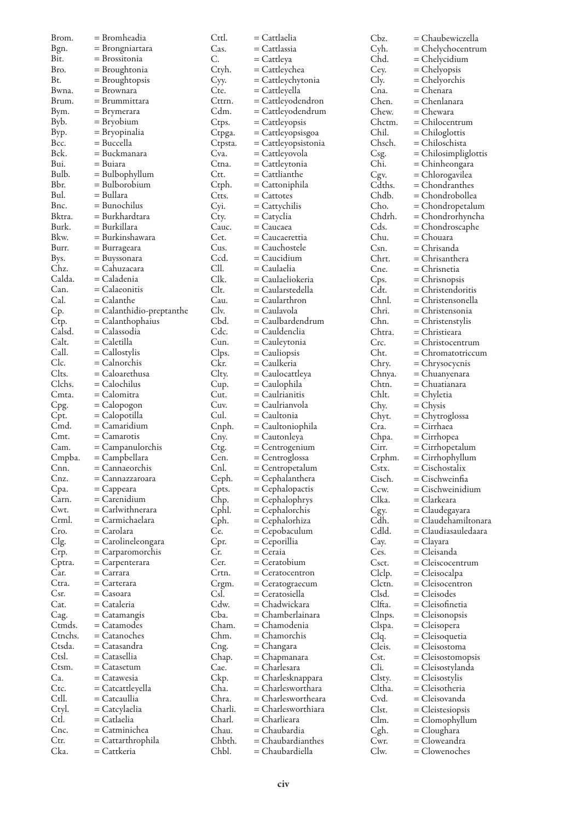| Brom.          | = Bromheadia                    | Cttl.        | = Cattlaelia                           | Cbz             |
|----------------|---------------------------------|--------------|----------------------------------------|-----------------|
| Bgn.           | = Brongniartara                 | Cas.         | = Cattlassia                           | Cyl             |
| Bit.           | = Brossitonia                   | C.           | = Cattleya                             | Cho             |
| Bro.           | = Broughtonia                   | Ctyh.        | = Cattleychea                          | Cey             |
| Bt.            | $=$ Broughtopsis                | Cyy.         | = Cattleychytonia                      | Cly             |
| Bwna.          | $=$ Brownara                    | Cte.         | $=$ Cattleyella                        | Cn:             |
| Brum.          | = Brummittara                   | Cttrn.       | = Cattleyodendron                      | Cho             |
| Bym.           | $=$ Brymerara                   | Cdm.         | = Cattleyodendrum                      | Cho             |
| Byb.           | $=$ Bryobium                    | Ctps.        | $=$ Cattleyopsis                       | Ch              |
| Byp.           | = Bryopinalia                   | Ctpga.       | = Cattleyopsisgoa                      | Chi             |
| Bcc.           | = Buccella                      | Ctpsta.      | = Cattleyopsistonia                    | Chs             |
| Bck.           | = Buckmanara                    | Cva.         | = Cattleyovola                         | Csg             |
| Bui.           | = Buiara                        | Ctna.        | = Cattleytonia                         | Chi             |
| Bulb.          | $=$ Bulbophyllum                | Ctt.         | $=$ Cattlianthe                        | Cgy             |
| Bbr.           | $=$ Bulborobium                 | Ctph.        | = Cattoniphila                         | Cdt             |
| Bul.           | = Bullara                       | Ctts.        | $=$ Cattotes                           | Cho             |
| Bnc.           | = Bunochilus                    | Cyi.         | $=$ Cattychilis                        | Ch              |
| Bktra.         | = Burkhardtara                  | Cty.         | = Catyclia                             | Cho             |
| Burk.          | = Burkillara                    | Cauc.        | $=$ Caucaea                            | Cds             |
| Bkw.           | = Burkinshawara                 | Cet.         | = Caucaerettia                         | Chı             |
| Burr.          | = Burrageara                    | Cus.         | = Cauchostele                          | Csr             |
| Bys.           | = Buyssonara                    | Ccd.         | = Caucidium                            | Chı             |
| Chz.           | = Cahuzacara                    | CII.         | = Caulaelia                            | C <sub>n</sub>  |
| Calda.         | = Caladenia                     | Clk.         | = Caulaeliokeria                       | Cps             |
| Can.           | $=$ Calaeonitis                 | Clt.         | = Caularstedella                       | Cdt             |
| Cal.           | $=$ Calanthe                    | Cau.         | = Caularthron                          | Chı             |
| Cp.            | $=$ Calanthidio-preptanthe      | Clv.         | = Caulavola                            | Chı             |
| Ctp.           | $=$ Calanthophaius              | Cbd.         | = Caulbardendrum                       | Chı             |
| Calsd.         | = Calassodia                    | Cdc.         | = Cauldenclia                          | Cht             |
| Calt.          | $=$ Caletilla                   | Cun.         | = Cauleytonia                          | Crc             |
| Call.          | $=$ Callostylis                 | Clps.        | $=$ Cauliopsis                         | Cht             |
| Clc.           | $=$ Calnorchis                  | Ckr.         | = Caulkeria                            | Chı             |
| Clts.          | = Caloarethusa                  | Clty.        | = Caulocattleya                        | Chı             |
| Clchs.         | $=$ Calochilus                  | Cup.         | = Caulophila                           | Cht             |
| Cmta.          | = Calomitra                     | Cut.         | $=$ Caulrianitis                       | Chl             |
| Cpg.           | $=$ Calopogon                   | Cuv.         | = Caulrianvola                         | Chy             |
| Cpt.           | $=$ Calopotilla                 | Cul.         | = Caultonia                            | Chy             |
| Cmd.           | $=$ Camaridium                  | Cnph.        | = Caultoniophila                       | Cra             |
| Cmt.           | $=$ Camarotis                   | Cny.         | = Cautonleya                           | Ch <sub>l</sub> |
| Cam.           | $=$ Campanulorchis              | Ctg.         | $=$ Centrogenium                       | Cir             |
| Cmpba.<br>Cnn. | = Campbellara<br>= Cannaeorchis | Cen.<br>Cnl. | $=$ Centroglossa                       | Cr <sub>F</sub> |
|                | = Cannazzaroara                 | Ceph.        | $=$ Centropetalum                      | Cst<br>Cis      |
| Cnz.<br>Cpa.   | $=$ Cappeara                    | Cpts.        | $=$ Cephalanthera<br>$=$ Cephalopactis | Ccy             |
| Carn.          | $=$ Carenidium                  | Chp.         | $=$ Cephalophrys                       | Clk             |
| Cwt.           | $=$ Carlwithnerara              | Cphl.        | $=$ Cephalorchis                       | Cgy             |
| Crml.          | = Carmichaelara                 | Cph.         |                                        | Cdl             |
| Cro.           | $=$ Carolara                    | Ce.          | = Cephalorhiza<br>= Cepobaculum        | Cdl             |
| Clg.           | = Carolineleongara              | Cpr.         | $=$ Ceporillia                         | Cay             |
| Crp.           | = Carparomorchis                | Cr.          | = Ceraia                               | Ces             |
| Cptra.         | $=$ Carpenterara                | Cer.         | = Ceratobium                           | Csc             |
| Car.           | $=$ Carrara                     | Crtn.        | $=$ Ceratocentron                      | Clc             |
| Ctra.          | = Carterara                     | Crgm.        | $=$ Ceratograecum                      | Clc             |
| Csr.           | = Casoara                       | Csl.         | = Ceratosiella                         | Cls             |
| Cat.           | = Cataleria                     | Cdw.         | = Chadwickara                          | Clfi            |
| Cag.           | = Catamangis                    | Cba.         | = Chamberlainara                       | Cln             |
| Ctmds.         | = Catamodes                     | Cham.        | = Chamodenia                           | Cls             |
| Ctnchs.        | = Catanoches                    | Chm.         | = Chamorchis                           | Clq             |
| Ctsda.         | = Catasandra                    | Cng.         | = Changara                             | Cle             |
| Ctsl.          | = Catasellia                    | Chap.        | = Chapmanara                           | Cst.            |
| Ctsm.          | = Catasetum                     | Cae.         | = Charlesara                           | Cli.            |
| Ca.            | = Catawesia                     | Ckp.         | = Charlesknappara                      | Cls             |
| Ctc.           | = Catcattleyella                | Cha.         | = Charlesworthara                      | Cltl            |
| Ctll.          | = Catcaullia                    | Chra.        | = Charleswortheara                     | Cvc             |
| Ctyl.          | = Catcylaelia                   | Charli.      | = Charlesworthiara                     | Cls             |
| Ctl.           | = Catlaelia                     | Charl.       | = Charlieara                           | Cln             |
| Cnc.           | = Catminichea                   | Chau.        | = Chaubardia                           | Cgl             |
| Ctr.           | = Cattarthrophila               | Chbth.       | = Chaubardianthes                      | Cw              |
| Cka.           | = Cattkeria                     | Chbl.        | = Chaubardiella                        | Clw             |

 $z. =$ Chaubewiczella h. = Chelychocentrum<br>d. = Chelycidium  $=$  Chelycidium  $\overline{C}$ . = Chelyopsis  $=$  Chelyorchis  $a. =$ Chenara Chen. = Chenlanara  $\begin{array}{lll} {\rm e} {\rm w}. & = {\rm Chewara} \ {\rm c} {\rm tm} & = {\rm Chilocent} \end{array}$ ctm.  $=$  Chilocentrum<br>il.  $=$  Chiloglottis il. = Chiloglottis<br>sch. = Chiloschista  $=$  Chiloschista  $\epsilon$ . = Chilosimpliglottis  $\sum_{n=1}^{\infty}$  = Chinheongara  $w.$  = Chlorogavilea<br>ths. = Chondranthes  $\begin{array}{lll} \text{ths.} & = \text{Chondranthes} \\ \text{db.} & = \text{Chondrobollea} \end{array}$  $=$  Chondrobollea o. = Chondropetalum<br>drh. = Chondrorhyncha  $=$  Chondrorhyncha  $s. =$ Chondroscaphe u. = Chouara n. = Chrisanda<br>rt. = Chrisanthe  $=$  Chrisanthera e. = Chrisnetia  $S<sub>1</sub> =$ Chrisnopsis  $\begin{array}{lll} \text{et.} & = \text{Christendoritis} \\ \text{ln.} & = \text{Christensonella} \end{array}$ nl. = Christensonella<br>ri. = Christensonia  $=$  Christensonia  $n. = Christenstylis$  $\text{tra.} = \text{Christieara}$ = Christocentrum c. = Chromatotriccum ry. = Chrysocycnis<br>nya. = Chuanyenara nya. = Chuanyenara<br>tn. = Chuatianara in. = Chuatianara<br>|t. = Chyletia  $=$  Chyletia  $v =$ Chysis yt. = Chytroglossa  $=$  Cirrhaea pa. = Cirrhopea Cirr. = Cirrhopetalum  $=$  Cirrhophyllum Cstx. = Cischostalix  $=$  Cischweinfia  $w.$  = Cischweinidium a. = Clarkeara Cgy. = Claudegayara  $=$ Claudehamiltonara  $d. =$ Claudiasauledaara  $\alpha$ .  $=$  Clayara .<br>Cleisanda =  $ct. = Cleiscocentrum$ lp. = Cleisocalpa<br>tn. = Cleisocentr  $=$  Cleisocentron  $d. = Cleisodes$ ta. = Cleisofinetia<br>ups. = Cleisonopsis  $=$  Cleisonopsis  $\,$  $\hat{p}$ a. = Cleisopera Clq. = Cleisoquetia = Cleisostoma = Cleisostomopsis Cli. = Cleisostylanda  $ty. = Cleisostylis$ Cltha. = Cleisotheria = Cleisovanda  $t. = Cleistesiopsis$  $n. = Clomophyllum$  $\hat{C}$  = Cloughara  $r. = Cloweandra$  $v. =$ Clowenoches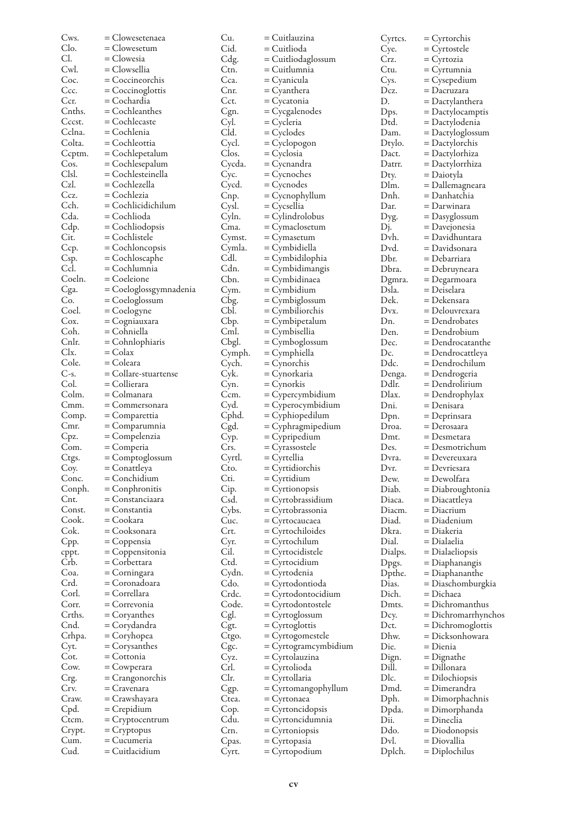| Cws.         | = Clowesetenaea               | Cu.            | = Cuitlauzina                 |
|--------------|-------------------------------|----------------|-------------------------------|
| Clo.         | = Clowesetum                  | Cid.           | = Cuitlioda                   |
| Cl.          | = Clowesia                    | Cdg.           | = Cuitliodaglossum            |
| Cwl.         | = Clowsellia                  | Ctn.           | = Cuitlumnia                  |
| Coc.         | = Coccineorchis               | Cca.           | = Cyanicula                   |
| Ccc.         | $=$ Coccinoglottis            | Cnr.           | = Cyanthera                   |
| Ccr.         | = Cochardia                   | Cct.           | = Cycatonia                   |
| Cnths.       | = Cochleanthes                | Cgn.           | = Cycgalenodes                |
| Cccst.       | = Cochlecaste                 | Cyl.           | = Cycleria                    |
| Cclna.       | = Cochlenia                   |                |                               |
|              |                               | Cld.           | = Cyclodes                    |
| Colta.       | = Cochleottia                 | Cycl.          | = Cyclopogon                  |
| Ccptm.       | $=$ Cochlepetalum             | Clos.          | = Cyclosia                    |
| Cos.         | $=$ Cochlesepalum             | Cycda.         | = Cycnandra                   |
| Clsl.        | = Cochlesteinella             | Cyc.           | = Cycnoches                   |
| Czl.         | = Cochlezella                 | Cycd.          | = Cycnodes                    |
| Ccz.         | = Cochlezia                   | Cnp.           | = Cycnophyllum                |
| Cch.         | = Cochlicidichilum            | Cysl.          | = Cycsellia                   |
| Cda.         | = Cochlioda                   | Cyln.          | = Cylindrolobus               |
| Cdp.         | $=$ Cochliodopsis             | Cma.           | = Cymaclosetum                |
| Cit.         | = Cochlistele                 | Cymst.         | = Cymasetum                   |
| Ccp.         | = Cochloncopsis               | Cymla.         | = Cymbidiella                 |
| Csp.         | = Cochloscaphe                | Cdl.           | = Cymbidilophia               |
| Ccl.         | = Cochlumnia                  | Cdn.           | = Cymbidimangis               |
| Coeln.       | = Coeleione                   | Cbn.           | = Cymbidinaea                 |
|              |                               |                |                               |
| Cga.         | = Coeloglossgymnadenia        | Cym.           | = Cymbidium                   |
| Co.          | = Coeloglossum                | Cbg.           | = Cymbiglossum                |
| Coel.        | = Coelogyne                   | CЫ.            | = Cymbiliorchis               |
| Cox.         | = Cogniauxara                 | Cbp.           | = Cymbipetalum                |
| Coh.         | = Cohniella                   | Cml.           | = Cymbisellia                 |
| Cnlr.        | $=$ Cohnlophiaris             | Cbgl.          | $=$ Cymboglossum              |
| Clx.         | = Colax                       | Cymph.         | = Cymphiella                  |
| Cole.        | = Coleara                     | Cych.          | = Cynorchis                   |
| C-s.         | $=$ Collare-stuartense        | Cyk.           | = Cynorkaria                  |
| Col.         | = Collierara                  | Cyn.           | = Cynorkis                    |
| Colm.        | = Colmanara                   | Ccm.           | = Cypercymbidium              |
| Cmm.         | $=$ Commersonara              | Cyd.           | = Cyperocymbidium             |
| Comp.        | = Comparettia                 |                | = Cyphiopedilum               |
|              |                               | Cphd.          |                               |
| Cmr.         | = Comparumnia                 | Cgd.           | = Cyphragmipedium             |
| Cpz.         | = Compelenzia                 | Cyp.           | = Cypripedium                 |
| Com.         | = Comperia                    | Crs.           | = Cyrassostele                |
| Ctgs.        | = Comptoglossum               | Cyrtl.         | = Cyrtellia                   |
| Coy.         | = Conattleya                  | Cto.           | = Cyrtidiorchis               |
| Conc.        | = Conchidium                  | Cti.           | = Cyrtidium                   |
| Conph.       | $=$ Conphronitis              | Cip.           | = Cyrtionopsis                |
| Cnt.         | = Constanciaara               | Csd.           | = Cyrtobrassidium             |
| Const.       | = Constantia                  | Cybs.          | = Cyrtobrassonia              |
| Cook.        | = Cookara                     | Cuc.           | = Cyrtocaucaea                |
| Cok.         | = Cooksonara                  | Crt.           | $=$ Cyrtochiloides            |
| Cpp.         | = Coppensia                   | Cyr.           | = Cyrtochilum                 |
| cppt.        | = Coppensitonia               | Cil.           | = Cyrtocidistele              |
| Crb.         | = Corbettara                  | Ctd.           | = Cyrtocidium                 |
| Coa.         |                               | Cydn.          | = Cyrtodenia                  |
| Crd.         | = Corningara<br>= Coronadoara | Cdo.           |                               |
|              |                               |                | = Cyrtodontioda               |
| Corl.        | = Correllara                  | Crdc.          | = Cyrtodontocidium            |
| Corr.        | = Correvonia                  | Code.          | = Cyrtodontostele             |
| Crths.       | = Coryanthes                  | Cgl.           | = Cyrtoglossum                |
| Cnd.         | = Corydandra                  | Cgt.           | = Cyrtoglottis                |
| Crhpa.       | = Coryhopea                   | Ctgo.          | = Cyrtogomestele              |
| Cyt.         | = Corysanthes                 | Cgc.           | = Cyrtogramcymbidium          |
| Cot.         | = Cottonia                    | Cyz.           | = Cyrtolauzina                |
| Cow.         | = Cowperara                   | Crl.           | = Cyrtolioda                  |
| Crg.         | = Crangonorchis               | Clr.           | = Cyrtollaria                 |
| Crv.         | = Cravenara                   | Cgp.           | = Cyrtomangophyllum           |
| Craw.        | = Crawshayara                 | Ctea.          | = Cyrtonaea                   |
| Cpd.         |                               |                |                               |
|              |                               |                |                               |
|              | = Crepidium                   | Cop.           | = Cyrtoncidopsis              |
| Ctcm.        | = Cryptocentrum               | Cdu.           | = Cyrtoncidumnia              |
| Crypt.       | $=$ Cryptopus                 | Crn.           | = Cyrtoniopsis                |
| Cum.<br>Cud. | = Cucumeria<br>= Cuitlacidium | Cpas.<br>Cyrt. | = Cyrtopasia<br>= Cyrtopodium |

| Cyrtcs. | = Cyrtorchis        |
|---------|---------------------|
| Cye.    | = Cyrtostele        |
| Crz.    |                     |
|         | = Cyrtozia          |
| Ctu.    | = Cyrtumnia         |
| Cys.    | = Cysepedium        |
| Dcz.    | = Dacruzara         |
| D.      | = Dactylanthera     |
| Dps.    | = Dactylocamptis    |
| Dtd.    | = Dactylodenia      |
| Dam.    | = Dactyloglossum    |
|         |                     |
| Dtylo.  | = Dactylorchis      |
| Dact.   | = Dactylorhiza      |
| Datrr.  | = Dactylorrhiza     |
| Dty.    | = Daiotyla          |
| Dlm.    | = Dallemagneara     |
| Dnh.    | = Danhatchia        |
| Dar.    | = Darwinara         |
|         | = Dasyglossum       |
| Dyg.    |                     |
| Dj.     | = Davejonesia       |
| Dvh.    | = Davidhuntara      |
| Dvd.    | = Davidsonara       |
| Dbr.    | = Debarriara        |
| Dbra.   | = Debruyneara       |
| Dgmra.  | = Degarmoara        |
| Dsla.   | = Deiselara         |
|         | = Dekensara         |
| Dek.    |                     |
| Dvx.    | = Delouvrexara      |
| Dn.     | = Dendrobates       |
| Den.    | = Dendrobium        |
| Dec.    | $=$ Dendrocatanthe  |
| Dc.     | = Dendrocattleya    |
| Ddc.    | = Dendrochilum      |
|         | = Dendrogeria       |
| Denga.  |                     |
| Ddlr.   | = Dendrolirium      |
| Dlax.   | $=$ Dendrophylax    |
| Dni.    | = Denisara          |
| Dpn.    | = Deprinsara        |
| Droa.   | = Derosaara         |
| Dmt.    | = Desmetara         |
| Des.    | = Desmotrichum      |
|         |                     |
| Dvra.   | = Devereuxara       |
| Dvr.    | = Devriesara        |
| Dew.    | = Dewolfara         |
| Diab.   | = Diabroughtonia    |
| Diaca.  | = Diacattleya       |
| Diacm.  | $=$ Diacrium        |
| Diad.   | = Diadenium         |
| Dkra.   | = Diakeria          |
|         |                     |
| Dial.   | = Dialaelia         |
| Dialps. | $=$ Dialaeliopsis   |
| Dpgs.   | = Diaphanangis      |
| Dpthe.  | = Diaphananthe      |
| Dias.   | = Diaschomburgkia   |
| Dich.   | = Dichaea           |
| Dmts.   | = Dichromanthus     |
|         |                     |
| Dcy.    | = Dichromarrhynchos |
| Dct.    | = Dichromoglottis   |
| Dhw.    | = Dicksonhowara     |
| Die.    | = Dienia            |
| Dign.   | = Dignathe          |
| Dill.   | = Dillonara         |
| Dlc.    | = Dilochiopsis      |
| Dmd.    |                     |
|         | = Dimerandra        |
| Dph.    | = Dimorphachnis     |
| Dpda.   | = Dimorphanda       |
| Dii.    | = Dineclia          |
| Ddo.    | $=$ Diodonopsis     |
| Dvl.    | = Diovallia         |
| Dplch.  | = Diplochilus       |
|         |                     |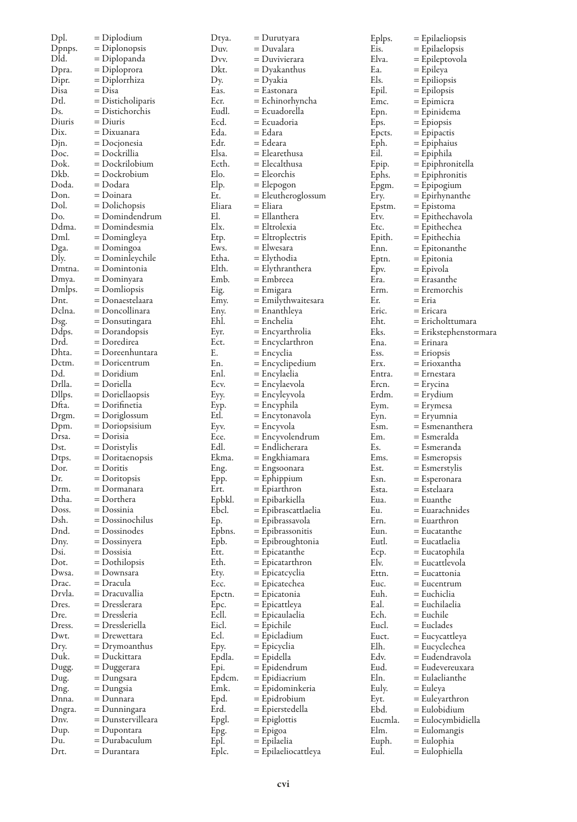| Dpl.            | = Diplodium                       | Dty         |
|-----------------|-----------------------------------|-------------|
| Dpnps.          | = Diplonopsis                     | Du          |
| Dld.            | = Diplopanda                      | $_{\rm Dv}$ |
| Dpra.           | = Diploprora                      | Dk          |
| Dipr.<br>Disa   | = Diplorrhiza<br>= Disa           | Dу.<br>Eas  |
| Dtl.            | = Disticholiparis                 | Ecr         |
| Ds.             | = Distichorchis                   | Euc         |
| Diuris          | = Diuris                          | Ecc         |
| Dix.            | = Dixuanara                       | Eda         |
| Djn.            | = Docjonesia                      | Edr         |
| Doc.            | = Dockrillia                      | Elsa        |
| Dok.            | = Dockrilobium                    | Ect         |
| Dkb.            | = Dockrobium                      | Elo         |
| Doda.<br>Don.   | = Dodara<br>= Doinara             | Elp<br>Et.  |
| Dol.            | = Dolichopsis                     | Elia        |
| Do.             | = Domindendrum                    | El.         |
| Ddma.           | = Domindesmia                     | Elx         |
| Dml.            | = Domingleya                      | Etp         |
| Dga.            | $=$ Domingoa                      | Ew:         |
| Dly.            | = Dominleychile                   | Eth         |
| Dmtna.          | = Domintonia                      | Eltl        |
| Dmya.           | = Dominyara                       | Em          |
| Dmlps.          | $=$ Domliopsis                    | Eig<br>Em   |
| Dnt.<br>Dclna.  | = Donaestelaara<br>= Doncollinara | Eny         |
| Dsg.            | = Donsutingara                    | Ehl         |
| Ddps.           | = Dorandopsis                     | Eyr         |
| Drd.            | = Doredirea                       | Ect         |
| Dhta.           | = Doreenhuntara                   | Е.          |
| Dctm.           | $=$ Doricentrum                   | En.         |
| Dd.             | = Doridium                        | Enl         |
| Drlla.          | = Doriella                        | Ecy         |
| Dllps.<br>Dfta. | = Doriellaopsis                   | Eyy         |
| Drgm.           | = Dorifinetia<br>= Doriglossum    | Eyp<br>Etl. |
| Dpm.            | $=$ Doriopsisium                  | Eyv         |
| Drsa.           | = Dorisia                         | Ece         |
| Dst.            | = Doristylis                      | Edl         |
| Dtps.           | = Doritaenopsis                   | Ekr         |
| Dor.            | = Doritis                         | Eng         |
| Dr.             | $=$ Doritopsis                    | Epp         |
| Drm.            | = Dormanara                       | Ert.        |
| Dtha.           | = Dorthera                        | Epł<br>Ebo  |
| Doss.<br>Dsh.   | = Dossinia<br>= Dossinochilus     | Еp.         |
| Dnd.            | = Dossinodes                      | Epl         |
| Dny.            | $=$ Dossinyera                    | Epł         |
| Dsi.            | = Dossisia                        | Ett.        |
| Dot.            | = Dothilopsis                     | Eth         |
| Dwsa.           | : Downsara                        | Ety         |
| Drac.           | = Dracula                         | Ecc         |
| Drvla.          | = Dracuvallia                     | Epc         |
| Dres.<br>Dre.   | = Dresslerara<br>= Dressleria     | Epc<br>Ecl  |
| Dress.          | = Dressleriella                   | Eic.        |
| Dwt.            | = Drewettara                      | Ecl.        |
| Dry.            | = Drymoanthus                     | Epy         |
| Duk.            | = Duckittara                      | Epc         |
| Dugg.           | = Duggerara                       | Epi         |
| Dug.            | = Dungsara                        | Epc         |
| Dng.            | = Dungsia                         | Em          |
| Dnna.           | = Dunnara                         | Epc         |
| Dngra.<br>Dnv.  | = Dunningara<br>= Dunstervilleara | Erd<br>Epg  |
| Dup.            | = Dupontara                       | Epg         |
| Du.             | = Durabaculum                     | Epl         |
| Drt.            | = Durantara                       | Epl         |

| Dtya.          | $=$ Durutyara                  |
|----------------|--------------------------------|
| Duv.           | = Duvalara                     |
| Dvv.           | = Duvivierara                  |
| Dkt.           | $=$ Dyakanthus                 |
| Dy.            | = Dyakia                       |
| Eas.           | = Eastonara                    |
| Ecr.           | = Echinorhyncha                |
| Eudl.          | = Ecuadorella                  |
| Ecd.           | = Ecuadoria                    |
| Eda.           | = Edara                        |
| Edr.           | = Edeara                       |
| Elsa.          | = Elearethusa                  |
| Ecth.          | = Elecalthusa                  |
| Elo.           | = Eleorchis                    |
| Elp.           | = Elepogon                     |
| Et.<br>Eliara  | = Eleutheroglossum<br>= Eliara |
| El.            | = Ellanthera                   |
| Elx.           | = Eltrolexia                   |
| Etp.           | = Eltroplectris                |
| Ews.           | = Elwesara                     |
| Etha.          | = Elythodia                    |
| Elth.          | = Elythranthera                |
| Emb.           | = Embreea                      |
| Eig.           | = Emigara                      |
| Emy.           | = Emilythwaitesara             |
| Eny.           | = Enanthleya                   |
| Ehl.           | = Enchelia                     |
| Eyr.           | = Encyarthrolia                |
| Ect.           | $=$ Encyclarthron              |
| Е.             | = Encyclia                     |
| En.            | = Encyclipedium                |
| Enl.           | = Encylaelia                   |
| Ecv.           | = Encylaevola                  |
| Eyy.           | = Encyleyvola                  |
| Eyp.           | = Encyphila                    |
| Etl.           | = Encytonavola                 |
| Eyv.           | = Encyvola                     |
| Ece.           | = Encyvolendrum                |
| Edl.           | = Endlicherara                 |
| Ekma.          | = Engkhiamara                  |
| Eng.           | = Engsoonara                   |
| Epp.           | = Ephippium                    |
| Ert.           | = Epiarthron                   |
| Epbkl.         | = Epibarkiella                 |
| Ebcl.          | = Epibrascattlaelia            |
| Ep.            | = Epibrassavola                |
| Epbns.         | = Epibrassonitis               |
| Epb.           | = Epibroughtonia               |
| Ett.           | = Epicatanthe                  |
| Eth.           | = Epicatarthron                |
| Ety.           | = Epicatcyclia                 |
| Ecc.           | = Epicatechea                  |
| Epctn.         | = Epicatonia                   |
| Epc.           | = Epicattleya                  |
| Ecll.          | = Epicaulaelia                 |
| Eicl.<br>Ecl.  | = Epichile                     |
|                | = Epicladium                   |
| Epy.           | = Epicyclia<br>= Epidella      |
| Epdla.         |                                |
| Epi.<br>Epdcm. | = Epidendrum<br>= Epidiacrium  |
| Emk.           | = Epidominkeria                |
| Epd.           | = Epidrobium                   |
| Erd.           | = Epierstedella                |
| Epgl.          | $=$ Epiglottis                 |
| Epg.           | = Epigoa                       |
| Epl.           | = Epilaelia                    |
| Eplc.          | = Epilaeliocattleya            |
|                |                                |

| Eplps.  | = Epilaeliopsis       |
|---------|-----------------------|
| Eis.    | = Epilaelopsis        |
| Elva.   | = Epileptovola        |
| Ea.     | = Epileya             |
| Els.    | = Epiliopsis          |
| Epil.   | = Epilopsis           |
| Emc.    | = Epimicra            |
| Epn.    | = Epinidema           |
| Eps.    | $=$ Epiopsis          |
| Epcts.  | = Epipactis           |
| Eph.    | = Epiphaius           |
| Eil.    | = Epiphila            |
| Epip.   | = Epiphronitella      |
| Ephs.   | $=$ Epiphronitis      |
| Epgm.   | = Epipogium           |
| Ery.    | $=$ Epirhynanthe      |
| Epstm.  | = Epistoma            |
| Etv.    | = Epithechavola       |
| Etc.    | = Epithechea          |
| Epith.  | = Epithechia          |
| Enn.    | = Epitonanthe         |
| Eptn.   | $=$ Epitonia          |
| Epv.    | = Epivola             |
| Era.    | = Erasanthe           |
| Erm.    | = Eremorchis          |
| Er.     | = Eria                |
| Eric.   | = Ericara             |
| Eht.    | = Ericholttumara      |
| Eks.    | = Erikstephenstormara |
| Ena.    | = Erinara             |
| Ess.    | $=$ Eriopsis          |
| Erx.    | = Erioxantha          |
| Entra.  | = Ernestara           |
| Ercn.   | = Erycina             |
| Erdm.   | = Erydium             |
| Eym.    | = Erymesa             |
| Eyn.    | = Eryumnia            |
| Esm.    | = Esmenanthera        |
| Em.     | = Esmeralda           |
| Es.     | = Esmeranda           |
| Ems.    | $=$ Esmeropsis        |
| Est.    | = Esmerstylis         |
| Esn.    | = Esperonara          |
| Esta.   | = Estelaara           |
| Eua.    | = Euanthe             |
| Eu.     | = Euarachnides        |
| Ern.    | = Euarthron           |
| Eun.    | = Eucatanthe          |
| Eutl.   | = Eucatlaelia         |
| Ecp.    | $=$ Eucatophila       |
| Elv.    | = Eucattlevola        |
| Ettn.   | = Eucattonia          |
| Euc.    | = Eucentrum           |
| Euh.    | = Euchiclia           |
| Eal.    | = Euchilaelia         |
| Ech.    | = Euchile             |
| Eucl.   | $=$ Euclades          |
| Euct.   | = Eucycattleya        |
| Elh.    | = Eucyclechea         |
| Edv.    | = Eudendravola        |
| Eud.    | = Eudevereuxara       |
| Eln.    | = Eulaelianthe        |
| Euly.   | = Euleya              |
| Eyt.    | = Euleyarthron        |
| Ebd.    | = Eulobidium          |
| Eucmla. | = Eulocymbidiella     |
| Elm.    | = Eulomangis          |
| Euph.   | = Eulophia            |
| Eul.    | = Eulophiella         |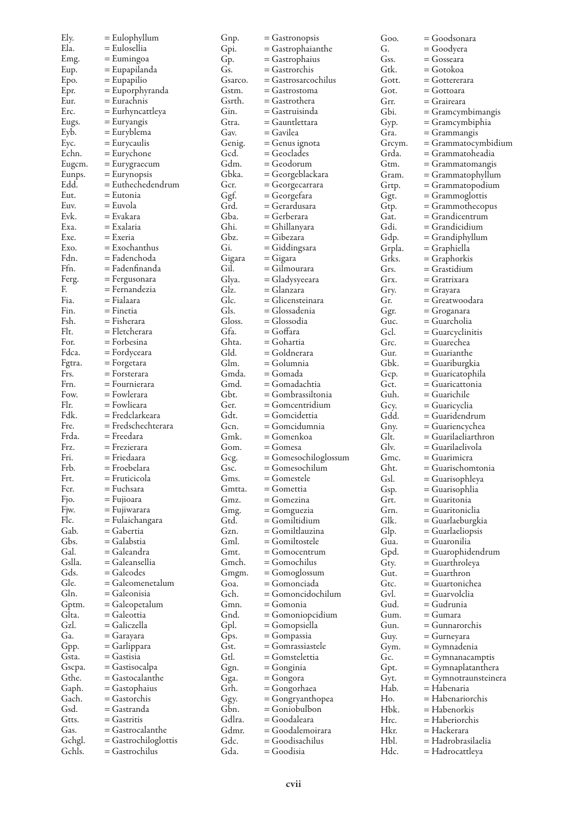| Ely.           | $=$ Eulophyllum                   | Gnp.    | = Gastronopsis       | Goo.   | = Goodsonara         |
|----------------|-----------------------------------|---------|----------------------|--------|----------------------|
| Ela.           | = Eulosellia                      | Gpi.    | = Gastrophaianthe    | G.     | = Goodyera           |
| Emg.           | $=$ Eumingoa                      | Gp.     | = Gastrophaius       | Gss.   | = Gosseara           |
| Eup.           | = Eupapilanda                     | Gs.     | = Gastrorchis        | Gtk.   | = Gotokoa            |
| Epo.           | $=$ Eupapilio                     | Gsarco. | = Gastrosarcochilus  | Gott.  | = Gottererara        |
| Epr.           | = Euporphyranda                   | Gstm.   | = Gastrostoma        | Got.   | = Gottoara           |
| Eur.           | = Eurachnis                       | Gsrth.  | = Gastrothera        | Grr.   | = Graireara          |
| Erc.           | = Eurhyncattleya                  | Gin.    | = Gastruisinda       | Gbi.   | = Gramcymbimangis    |
| Eugs.          | = Euryangis                       | Gtra.   | = Gauntlettara       | Gyp.   | = Gramcymbiphia      |
| Eyb.           | = Euryblema                       | Gav.    | = Gavilea            | Gra.   | = Grammangis         |
| Ėус.           | $=$ Eurycaulis                    | Genig.  | = Genus ignota       | Greym. | = Grammatocymbidium  |
| Echn.          | $=$ Eurychone                     | Gcd.    | = Geoclades          | Grda.  | = Grammatoheadia     |
| Eugcm.         | = Eurygraecum                     | Gdm.    | = Geodorum           | Gtm.   | = Grammatomangis     |
|                |                                   | Gbka.   |                      | Gram.  |                      |
| Eunps.<br>Edd. | = Eurynopsis<br>= Euthechedendrum | Gcr.    | = Georgeblackara     |        | = Grammatophyllum    |
| Eut.           | = Eutonia                         |         | = Georgecarrara      | Grtp.  | = Grammatopodium     |
| Euv.           |                                   | Ggf.    | = Georgefara         | Ggt.   | = Grammoglottis      |
|                | = Euvola                          | Grd.    | = Gerardusara        | Gtp.   | = Grammothecopus     |
| Evk.           | = Evakara                         | Gba.    | = Gerberara          | Gat.   | = Grandicentrum      |
| Exa.           | = Exalaria                        | Ghi.    | = Ghillanyara        | Gdi.   | = Grandicidium       |
| Exe.           | $=$ Exeria                        | Gbz.    | = Gibezara           | Gdp.   | = Grandiphyllum      |
| Exo.           | $=$ Exochanthus                   | Gi.     | = Giddingsara        | Grpla. | = Graphiella         |
| Fdn.           | = Fadenchoda                      | Gigara  | = Gigara             | Grks.  | = Graphorkis         |
| Ffn.           | = Fadenfinanda                    | Gil.    | = Gilmourara         | Grs.   | = Grastidium         |
| Ferg.          | = Fergusonara                     | Glya.   | = Gladysyeeara       | Grx.   | = Gratrixara         |
| F.             | = Fernandezia                     | Glz.    | = Glanzara           | Gry.   | = Grayara            |
| Fia.           | = Fialaara                        | Glc.    | = Glicensteinara     | Gr.    | = Greatwoodara       |
| Fin.           | $=$ Finetia                       | Gls.    | = Glossadenia        | Ggr.   | = Groganara          |
| Fsh.           | = Fisherara                       | Gloss.  | = Glossodia          | Guc.   | = Guarcholia         |
| Flt.           | = Fletcherara                     | Gfa.    | = Goffara            | Gcl.   | = Guarcyclinitis     |
| For.           | = Forbesina                       | Ghta.   | = Gohartia           | Grc.   | = Guarechea          |
| Fdca.          | = Fordyceara                      | Gld.    | = Goldnerara         | Gur.   | = Guarianthe         |
| Fgtra.         | = Forgetara                       | Glm.    | = Golumnia           | Gbk.   | = Guariburgkia       |
| Frs.           | $=$ Forsterara                    | Gmda.   | = Gomada             | Gcp.   | = Guaricatophila     |
| Frn.           | = Fournierara                     | Gmd.    | = Gomadachtia        | Gct.   | = Guaricattonia      |
| Fow.           | = Fowlerara                       | Gbt.    | = Gombrassiltonia    | Guh.   | = Guarichile         |
| Flr.           | = Fowlieara                       | Ger.    | = Gomcentridium      | Gey.   | = Guaricyclia        |
| Fdk.           | = Fredclarkeara                   | Gdt.    | = Gomcidettia        | Gdd.   | = Guaridendrum       |
| Fre.           | = Fredschechterara                | Gcn.    | = Gomcidumnia        | Gny.   | = Guariencychea      |
| Frda.          | = Freedara                        | Gmk.    | = Gomenkoa           | Glt.   | = Guarilaeliarthron  |
| Frz.           | = Frezierara                      | Gom.    | = Gomesa             | Glv.   | = Guarilaelivola     |
| Fri.           | = Friedaara                       | Gcg.    | = Gomesochiloglossum | Gmc.   | = Guarimicra         |
| Frb.           | = Froebelara                      | Gsc.    | = Gomesochilum       | Ght.   | = Guarischomtonia    |
| Frt.           | = Fruticicola                     | Gms.    | = Gomestele          | Gsl.   |                      |
| Fcr.           | = Fuchsara                        | Gmtta.  | = Gomettia           |        | = Guarisophleya      |
|                |                                   |         |                      | Gsp.   | = Guarisophlia       |
| Fjo.           | = Fujioara                        | Gmz.    | = Gomezina           | Grt.   | = Guaritonia         |
| Fjw.           | = Fujiwarara                      | Gmg.    | = Gomguezia          | Grn.   | = Guaritoniclia      |
| Flc.           | = Fulaichangara                   | Gtd.    | = Gomiltidium        | Glk.   | = Guarlaeburgkia     |
| Gab.           | = Gabertia                        | Gzn.    | = Gomiltlauzina      | Glp.   | = Guarlaeliopsis     |
| Gbs.           | = Galabstia                       | Gml.    | = Gomiltostele       | Gua.   | = Guaronilia         |
| Gal.           | = Galeandra                       | Gmt.    | $=$ Gomocentrum      | Gpd.   | = Guarophidendrum    |
| Gslla.         | = Galeansellia                    | Gmch.   | = Gomochilus         | Gty.   | = Guarthroleya       |
| Gds.           | $=$ Galeodes                      | Gmgm.   | = Gomoglossum        | Gut.   | = Guarthron          |
| Gle.           | = Galeomenetalum                  | Goa.    | = Gomonciada         | Gtc.   | = Guartonichea       |
| Gln.           | = Galeonisia                      | Gch.    | = Gomoncidochilum    | Gvl.   | = Guarvolclia        |
| Gptm.          | = Galeopetalum                    | Gmn.    | = Gomonia            | Gud.   | = Gudrunia           |
| Glta.          | = Galeottia                       | Gnd.    | = Gomoniopcidium     | Gum.   | = Gumara             |
| Gzl.           | = Galiczella                      | Gpl.    | = Gomopsiella        | Gun.   | = Gunnarorchis       |
| Ga.            | $=$ Garayara                      | Gps.    | = Gompassia          | Guy.   | = Gurneyara          |
| Gpp.           | = Garlippara                      | Gst.    | = Gomrassiastele     | Gym.   | = Gymnadenia         |
| Gsta.          | $=$ Gastisia                      | Gtl.    | = Gomstelettia       | Gc.    | $=$ Gymnanacamptis   |
| Gscpa.         | $=$ Gastisocalpa                  | Ggn.    | = Gonginia           | Gpt.   | = Gymnaplatanthera   |
| Gthe.          | = Gastocalanthe                   | Gga.    | = Gongora            | Gyt.   | = Gymnotraunsteinera |
| Gaph.          | $=$ Gastophaius                   | Grh.    | = Gongorhaea         | Hab.   | = Habenaria          |
| Gach.          | $=$ Gastorchis                    | Ggy.    | = Gongryanthopea     | Ho.    | = Habenariorchis     |
| Gsd.           | = Gastranda                       | Gbn.    | = Goniobulbon        | Hbk.   | = Habenorkis         |
| Gtts.          | $=$ Gastritis                     | Gdlra.  | = Goodaleara         | Hrc.   | = Haberiorchis       |
| Gas.           | = Gastrocalanthe                  | Gdmr.   | = Goodalemoirara     | Hkr.   | = Hackerara          |
| Gchgl.         | $=$ Gastrochiloglottis            | Gdc.    | = Goodisachilus      | Hbl.   | = Hadrobrasilaelia   |
| Gchls.         | = Gastrochilus                    | Gda.    | = Goodisia           | Hdc.   | = Hadrocattleya      |
|                |                                   |         |                      |        |                      |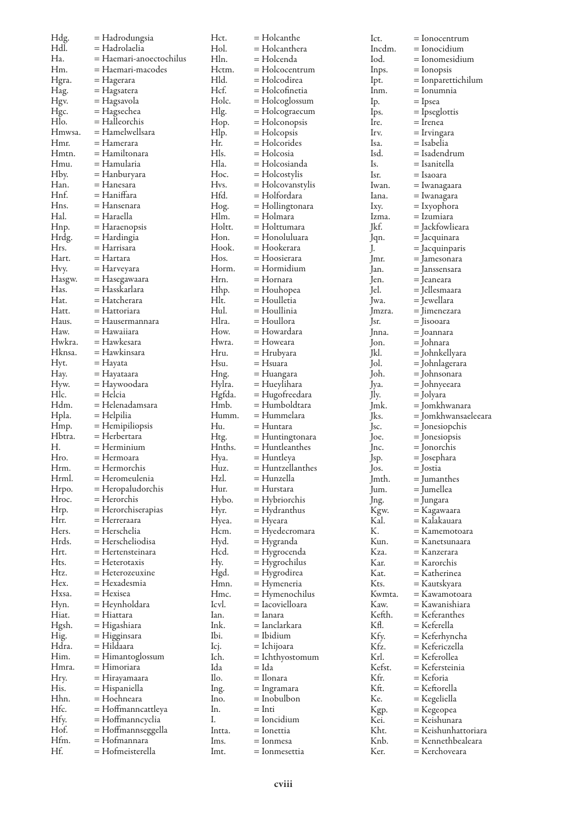| Hdg.<br>Hdl. | = Hadrodungsia<br>= Hadrolaelia | Hct.<br>Hol. | = Holcanthe        | Ict.<br>Incdm. | $=$ Ionocentrum     |
|--------------|---------------------------------|--------------|--------------------|----------------|---------------------|
|              |                                 |              | = Holcanthera      |                | = Ionocidium        |
| Ha.          | = Haemari-anoectochilus         | Hln.         | = Holcenda         | Iod.           | = Ionomesidium      |
| Hm.          | = Haemari-macodes               | Hctm.        | $=$ Holcocentrum   | Inps.          | = Ionopsis          |
| Hgra.        | = Hagerara                      | Hld.         | = Holcodirea       | lpt.           | = Ionparettichilum  |
| Hag.         | = Hagsatera                     | Hcf.         | = Holcofinetia     | Inm.           | = Ionumnia          |
| Hgv.         | = Hagsavola                     | Holc.        | = Holcoglossum     | Ip.            | = Ipsea             |
| Hgc.         | = Hagsechea                     | Hlg.         | = Holcograecum     | lps.           | $=$ Ipseglottis     |
| Hlo.         | = Halleorchis                   | Hop.         | = Holconopsis      | Ire.           | = Irenea            |
| Hmwsa.       | = Hamelwellsara                 | Hlp.         | $=$ Holcopsis      | Irv.           | = Irvingara         |
| Hmr.         | = Hamerara                      | Hr.          | = Holcorides       | Isa.           | = Isabelia          |
| Hmtn.        | = Hamiltonara                   | Hls.         | = Holcosia         | Isd.           | = Isadendrum        |
| Hmu.         | = Hamularia                     | Hla.         | = Holcosianda      | Is.            | = Isanitella        |
| Hby.         | = Hanburyara                    | Hoc.         | $=$ Holcostylis    | Isr.           | = Isaoara           |
| Han.         | = Hanesara                      | Hvs.         | = Holcovanstylis   | Iwan.          | = Iwanagaara        |
| Hnf.         | = Haniffara                     | Hfd.         | = Holfordara       | lana.          | = Iwanagara         |
| Hns.         | = Hansenara                     | Hog.         | = Hollingtonara    | Ixy.           | = Ixyophora         |
| Hal.         | = Haraella                      | Hlm.         | = Holmara          | Izma.          | = Izumiara          |
| Hnp.         |                                 | Holtt.       | = Holttumara       | Jkf.           | = Jackfowlieara     |
|              | = Haraenopsis                   |              |                    |                |                     |
| Hrdg.        | = Hardingia                     | Hon.         | = Honoluluara      | Jqn.           | = Jacquinara        |
| Hrs.         | = Harrisara                     | Hook.        | = Hookerara        | J.             | = Jacquinparis      |
| Hart.        | = Hartara                       | Hos.         | = Hoosierara       | Jmr.           | = Jamesonara        |
| Hvy.         | = Harveyara                     | Horm.        | = Hormidium        | Jan.           | = Janssensara       |
| Hasgw.       | = Hasegawaara                   | Hrn.         | = Hornara          | Jen.           | = Jeaneara          |
| Has.         | = Hasskarlara                   | Hhp.         | = Houhopea         | Jel.           | = Jellesmaara       |
| Hat.         | = Hatcherara                    | Hlt.         | = Houlletia        | Jwa.           | = Iewellara         |
| Hatt.        | = Hattoriara                    | Hul.         | = Houllinia        | mzra.          | = Jimenezara        |
| Haus.        | = Hausermannara                 | Hlra.        | = Houllora         | Jsr.           | = Iisooara          |
| Haw.         | = Hawaiiara                     | How.         | = Howardara        | Inna.          | = Joannara          |
| Hwkra.       | = Hawkesara                     | Hwra.        | = Howeara          | Jon.           | = Johnara           |
| Hknsa.       | = Hawkinsara                    | Hru.         | = Hrubyara         | Jkl.           | = Johnkellyara      |
| Hyt.         | = Hayata                        | Hsu.         | = Hsuara           | Jol.           |                     |
| Hay.         | = Hayataara                     |              |                    | Joh.           | = Johnlagerara      |
|              |                                 | Hng.         | = Huangara         |                | = Johnsonara        |
| Hyw.         | = Haywoodara                    | Hylra.       | = Hueylihara       | Jya.           | = Johnyeeara        |
| Hlc.         | = Helcia                        | Hgfda.       | = Hugofreedara     | Jly.           | = Jolyara           |
| Hdm.         | = Helenadamsara                 | Hmb.         | = Humboldtara      | Jmk.           | = Jomkhwanara       |
| Hpla.        | = Helpilia                      | Humm.        | = Hummelara        | Jks.           | = Jomkhwansaeleeara |
| Hmp.         | = Hemipiliopsis                 | Hu.          | = Huntara          | Jsc.           | = Jonesiopchis      |
| Hbtra.       | = Herbertara                    | Htg.         | = Huntingtonara    | Joe.           | = Jonesiopsis       |
| Н.           | = Herminium                     | Hnths.       | $=$ Huntleanthes   | Jnc.           | = Jonorchis         |
| Hro.         | = Hermoara                      | Hya.         | = Huntleya         | Jsp.           | = Josephara         |
| Hrm.         | = Hermorchis                    | Huz.         | $=$ Huntzellanthes | $\log$ .       | = Jostia            |
| Hrml.        | = Heromeulenia                  | Hzl.         | = Hunzella         | Jmth.          | $=$ Jumanthes       |
| Hrpo.        | = Heropaludorchis               | Hur.         | = Hurstara         | Jum.           | = Jumellea          |
| Hroc.        | = Herorchis                     | Hybo.        | $=$ Hybriorchis    | Jng.           | = Jungara           |
| Hrp.         | = Herorchiserapias              | Hyr.         | = Hydranthus       | Kgw.           | = Kagawaara         |
| Hrr.         | = Herreraara                    | Hyea.        | = Hyeara           | Kal.           | = Kalakauara        |
| Hers.        | = Herschelia                    | Hcm.         | = Hyedecromara     | К.             | = Kamemotoara       |
| Hrds.        | = Herscheliodisa                | Hyd.         | = Hygranda         | Kun.           | = Kanetsunaara      |
| Hrt.         | = Hertensteinara                | Hcd.         | = Hygrocenda       | Kza.           | = Kanzerara         |
| Hts.         | = Heterotaxis                   | Hy.          |                    | Kar.           | = Karorchis         |
| Htz.         | $=$ Heterozeuxine               |              | $=$ Hygrochilus    | Kat.           | = Katherinea        |
| Hex.         | = Hexadesmia                    | Hgd.         | = Hygrodirea       |                |                     |
|              |                                 | Hmn.         | = Hymeneria        | Kts.           | = Kautskyara        |
| Hxsa.        | = Hexisea                       | Hmc.         | = Hymenochilus     | Kwmta.         | = Kawamotoara       |
| Hyn.         | = Heynholdara                   | Icvl.        | = Iacovielloara    | Kaw.           | = Kawanishiara      |
| Hiat.        | = Hiattara                      | Ian.         | = Ianara           | Kefth.         | = Keferanthes       |
| Hgsh.        | = Higashiara                    | Ink.         | = Ianclarkara      | Kfl.           | = Keferella         |
| Hig.         | = Higginsara                    | Ibi.         | = Ibidium          | Kfy.           | = Keferhyncha       |
| Hdra.        | = Hildaara                      | Icj.         | = Ichijoara        | Kfz.           | = Kefericzella      |
| Him.         | = Himantoglossum                | Ich.         | = lchthyostomum    | Krl.           | = Keferollea        |
| Hmra.        | = Himoriara                     | Ida          | = Ida              | Kefst.         | = Kefersteinia      |
| Hry.         | = Hirayamaara                   | Ilo.         | = Ilonara          | Kfr.           | = Keforia           |
| His.         | = Hispaniella                   | Ing.         | = Ingramara        | Kft.           | = Keftorella        |
| Hhn.         | = Hoehneara                     | Ino.         | = Inobulbon        | Ke.            | = Kegeliella        |
| Hfc.         | = Hoffmanncattleya              | In.          | $=$ Inti           | Kgp.           | = Kegeopea          |
| Hfy.         | = Hoffmanncyclia                | Ι.           | $=$ Ioncidium      | Kei.           | = Keishunara        |
| Hof.         | = Hoffmannseggella              | Intta.       | = Ionettia         | Kht.           | = Keishunhattoriara |
| Hfm.         | = Hofmannara                    | Ims.         | = lonmesa          | Knb.           | = Kennethbealeara   |
| Hf.          | = Hofmeisterella                |              |                    | Ker.           | = Kerchoveara       |
|              |                                 | lmt.         | = Ionmesettia      |                |                     |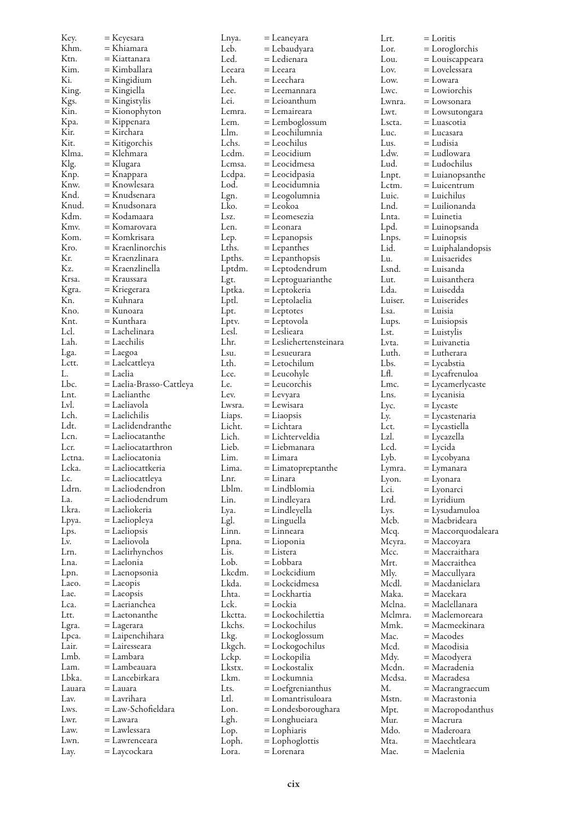| Key.         | = Keyesara                        | Lnya.          | = Leaneyara                    | Lrt.         | $=$ Loritis              |
|--------------|-----------------------------------|----------------|--------------------------------|--------------|--------------------------|
| Khm.         | = Khiamara                        | Leb.           | = Lebaudyara                   | Lor.         | $=$ Loroglorchis         |
| Ktn.         | = Kiattanara                      | Led.           | = Ledienara                    | Lou.         | = Louiscappeara          |
| Kim.         | = Kimballara                      | Leeara         | = Leeara                       | Lov.         | = Lovelessara            |
| Ki.          | = Kingidium                       | Leh.           | = Leechara                     | Low.         | = Lowara                 |
| King.        | = Kingiella                       | Lee.           | = Leemannara                   | Lwc.         | = Lowiorchis             |
| Kgs.         | = Kingistylis                     | Lei.           | = Leioanthum                   | Lwnra.       | = Lowsonara              |
| Kin.         | = Kionophyton                     | Lemra.         | = Lemaireara                   | Lwt.         | = Lowsutongara           |
| Kpa.         | = Kippenara                       | Lem.           | = Lemboglossum                 | Lscta.       | = Luascotia              |
| Kir.         | = Kirchara                        | Llm.           | = Leochilumnia                 | Luc.         | = Lucasara               |
| Kit.         | = Kitigorchis                     | Lchs.          | $=$ Leochilus                  | Lus.         | = Ludisia                |
| Klma.        | = Klehmara                        | Lcdm.          | = Leocidium                    | Ldw.         | = Ludlowara              |
| Klg.         | = Klugara                         | Lemsa.         | = Leocidmesa                   | Lud.         | = Ludochilus             |
| Knp.         | = Knappara                        | Lcdpa.         | = Leocidpasia                  | Lnpt.        | = Luianopsanthe          |
| Knw.         | = Knowlesara                      | Lod.           | = Leocidumnia                  | Lctm.        | = Luicentrum             |
| Knd.         | = Knudsenara                      | Lgn.           | = Leogolumnia                  | Luic.        | = Luichilus              |
| Knud.        | = Knudsonara                      | Lko.           | = Leokoa                       | Lnd.         | = Luilionanda            |
| Kdm.         | = Kodamaara                       | Lsz.           | = Leomesezia                   | Lnta.        | = Luinetia               |
| Kmv.         | = Komarovara                      | Len.           | = Leonara                      | Lpd.         | = Luinopsanda            |
| Kom.         | = Komkrisara                      | Lep.           | $=$ Lepanopsis                 | Lnps.        | = Luinopsis              |
| Kro.         | = Kraenlinorchis                  | Lths.          | $=$ Lepanthes                  | Lid.         | = Luiphalandopsis        |
| Kr.          | = Kraenzlinara                    | Lpths.         | $=$ Lepanthopsis               | Lu.          | $=$ Luisaerides          |
| Kz.          | = Kraenzlinella                   | Lptdm.         | = Leptodendrum                 | Lsnd.        | = Luisanda               |
| Krsa.        | = Kraussara                       | Lgt.           | $=$ Leptoguarianthe            | Lut.         | = Luisanthera            |
| Kgra.        | = Kriegerara                      | Lptka.         | = Leptokeria                   | Lda.         | = Luisedda               |
| Kn.          | = Kuhnara                         | Lptl.          | = Leptolaelia                  | Luiser.      | = Luiserides             |
| Kno.         | = Kunoara                         | Lpt.           | $=$ Leptotes                   | Lsa.         | = Luisia                 |
| Knt.         | = Kunthara                        | Lptv.          | = Leptovola                    | Lups.        | $=$ Luisiopsis           |
| Lcl.         | = Lachelinara                     | Lesl.          | = Leslieara                    | Lst.         | $=$ Luistylis            |
| Lah.         | = Laechilis                       | Lhr.           | = Lesliehertensteinara         | Lvta.        | = Luivanetia             |
| Lga.         | $=$ Laegoa                        | Lsu.           | = Lesueurara                   | Luth.        | = Lutherara              |
| Lctt.        | = Laelcattleya                    | Lth.           | = Letochilum                   | Lbs.         | = Lycabstia              |
| L.           | = Laelia                          | Lce.           | $=$ Leucohyle                  | LfI.         | = Lycafrenuloa           |
| Lbc.         | = Laelia-Brasso-Cattleya          | Le.            | = Leucorchis                   | Lmc.         | = Lycamerlycaste         |
| Lnt.         | = Laelianthe                      | Lev.           | $=$ Levyara                    | Lns.         | = Lycanisia              |
| Lvl.         | = Laeliavola                      | Lwsra.         | = Lewisara                     | Lyc.         | $=$ Lycaste              |
| Lch.         | = Laelichilis                     | Liaps.         | $=$ Liaopsis                   | Ly.          | = Lycastenaria           |
| Ldt.         | = Laelidendranthe                 | Licht.         | = Lichtara                     | Lct.         | = Lycastiella            |
| Lcn.         | = Laeliocatanthe                  | Lich.          | = Lichterveldia                | Lzl.         | = Lycazella              |
| Lcr.         | = Laeliocatarthron                | Lieb.          | = Liebmanara                   | Lcd.         | = Lycida                 |
| Lctna.       | = Laeliocatonia                   | Lim.           | = Limara                       | Lyb.         | = Lycobyana              |
| Lcka.        | = Laeliocattkeria                 | Lima.          | $=$ Limatopreptanthe           | Lymra.       | = Lymanara               |
| Lc.          | = Laeliocattleya                  | Lnr.           | = Linara                       | Lyon.        | = Lyonara                |
| Ldrn.        | = Laeliodendron                   | Lblm.          | = Lindblomia                   | Lci.         | = Lyonarci               |
| La.          | = Laeliodendrum                   | Lin.           | = Lindleyara                   | Lrd.         | = Lyridium               |
| Lkra.        | = Laeliokeria                     | Lya.           | = Lindleyella                  | Lys.         | = Lysudamuloa            |
| Lpya.        | = Laeliopleya                     | Lgl.           | = Linguella                    | Mcb.         | = Macbrideara            |
| Lps.         | = Laeliopsis                      | Linn.          | = Linneara                     | Mcq.         | = Maccorquodaleara       |
| Lv.          | = Laeliovola                      | Lpna.          | = Lioponia                     | Mcyra.       | = Maccoyara              |
| Lrn.         | = Laelirhynchos                   | Lis.           | = Listera                      | Mcc.         | = Maccraithara           |
| Lna.         | = Laelonia                        | Lob.           | = Lobbara                      | Mrt.         | = Maccraithea            |
| Lpn.         | = Laenopsonia                     | Lkcdm.         | = Lockcidium                   | Mly.         | = Maccullyara            |
| Laeo.        | $=$ Laeopis                       | Lkda.          | = Lockcidmesa                  | Mcdl.        | = Macdanielara           |
| Lae.         | $=$ Laeopsis                      | Lhta.          | = Lockhartia                   | Maka.        | = Macekara               |
| Lca.         | = Laerianchea                     | Lck.           | = Lockia                       | Melna.       | = Maclellanara           |
| Ltt.         | = Laetonanthe                     | Lkctta.        | = Lockochilettia               | Mclmra.      | = Maclemoreara           |
| Lgra.        | $=$ Lagerara                      | Lkchs.         | = Lockochilus                  | Mmk.         | = Macmeekinara           |
| Lpca.        | = Laipenchihara                   | Lkg.           | = Lockoglossum                 | Mac.         | = Macodes                |
| Lair.        | = Lairesseara                     | Lkgch.         | = Lockogochilus                | Mcd.         | = Macodisia              |
| Lmb.         | = Lambara                         | Lckp.          | = Lockopilia                   | Mdy.         | = Macodyera              |
| Lam.         | = Lambeauara                      | Lkstx.         | = Lockostalix                  | Mcdn.        | = Macradenia             |
| Lbka.        | = Lancebirkara                    | Lkm.           | = Lockumnia                    | Mcdsa.       | = Macradesa              |
| Lauara       | = Lauara                          | Lts.<br>Ltl.   | $=$ Loefgrenianthus            | М.           | = Macrangraecum          |
| Lav.         | = Lavrihara<br>= Law-Schofieldara |                | = Lomantrisuloara              | Mstn.        | = Macrastonia            |
| Lws.<br>Lwr. | $=$ Lawara                        | Lon.           | = Londesboroughara             | Mpt.         | $=$ Macropodanthus       |
| Law.         | = Lawlessara                      | Lgh.           | = Longhueiara                  | Mur.<br>Mdo. | = Macrura<br>= Maderoara |
| Lwn.         | = Lawrenceara                     | Lop.           | = Lophiaris                    |              | = Maechtleara            |
| Lay.         | = Laycockara                      | Loph.<br>Lora. | $=$ Lophoglottis<br>= Lorenara | Mta.<br>Mae. | = Maelenia               |
|              |                                   |                |                                |              |                          |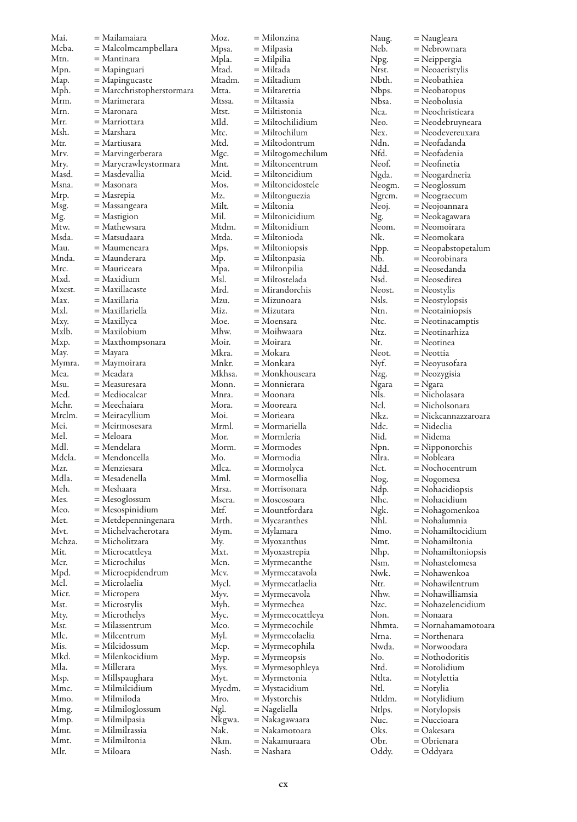| Mai.           | = Mailamaiara                     | Moz.            | = Milonzina                    | Naug.            | = Naugleara                  |
|----------------|-----------------------------------|-----------------|--------------------------------|------------------|------------------------------|
| Mcba.          | = Malcolmcampbellara              | Mpsa.           | = Milpasia                     | Neb.             | = Nebrownara                 |
| Mtn.           | = Mantinara                       | Mpla.           | $=$ Milpilia                   | Npg.             | = Neippergia                 |
| Mpn.           | = Mapinguari                      | Mtad.           | = Miltada                      | Nrst.            | = Neoaeristylis              |
| Map.           | = Mapingucaste                    | Mtadm.          | = Miltadium                    | Nbth.            | = Neobathiea                 |
| Mph.           | = Marcchristopherstormara         | Mtta.           | = Miltarettia                  | Nbps.            | = Neobatopus                 |
| Mrm.           | = Marimerara                      | Mtssa.          | = Miltassia                    | Nbsa.            | = Neobolusia                 |
| Mrn.           | = Maronara                        | Mtst.           | = Miltistonia                  | Nca.             | = Neochristieara             |
| Mrr.           | = Marriottara                     | Mld.            | $=$ Miltochilidium             | Neo.             | = Neodebruyneara             |
| Msh.           | = Marshara                        | Mtc.            | = Miltochilum                  | Nex.             | = Neodevereuxara             |
| Mtr.           | = Martiusara                      | Mtd.            | = Miltodontrum                 | Ndn.             | = Neofadanda                 |
| Mrv.           | = Marvingerberara                 | Mgc.            | $=$ Miltogomechilum            | Nfd.             | = Neofadenia                 |
| Mry.           | = Marycrawleystormara             | Mnt.            | $=$ Miltoncentrum              | Neof.            | = Neofinetia                 |
| Masd.          | = Masdevallia                     | Mcid.           | = Miltoncidium                 | Ngda.            | = Neogardneria               |
| Msna.          | = Masonara                        | Mos.            | $=$ Miltoncidostele            | Neogm.           | = Neoglossum                 |
| Mrp.           | = Masrepia                        | Mz.             | = Miltonguezia                 | Ngrcm.           | = Neograecum                 |
| Msg.           | = Massangeara                     | Milt.           | = Miltonia                     | Neoj.            | = Neojoannara                |
| Mg.            | = Mastigion                       | Mil.            | $=$ Miltonicidium              | Ng.              | = Neokagawara                |
| Mtw.           | = Mathewsara                      | Mtdm.           | = Miltonidium                  | Neom.            | = Neomoirara                 |
| Msda.          | = Matsudaara                      | Mtda.           | = Miltonioda                   | Nk.              | = Neomokara                  |
| Mau.           | = Maumeneara                      | Mps.            | $=$ Miltoniopsis               | Npp.             | = Neopabstopetalum           |
| Mnda.          | = Maunderara                      | Mp.             | = Miltonpasia                  | Nb.              | = Neorobinara                |
| Mrc.           | = Mauriceara                      | Mpa.            | = Miltonpilia                  | Ndd.             | = Neosedanda                 |
| Mxd.           | = Maxidium                        | Msl.            | = Miltostelada                 | Nsd.             | = Neosedirea                 |
| Mxcst.         | = Maxillacaste                    | Mrd.            | $=$ Mirandorchis               | Neost.           | = Neostylis                  |
| Max.           | = Maxillaria                      | Mzu.            | = Mizunoara                    | Nsls.            | = Neostylopsis               |
| Mxl.           | = Maxillariella                   | Miz.            | = Mizutara                     | Ntn.             | = Neotainiopsis              |
| Mxy.           | = Maxillyca                       | Moe.            | = Moensara                     | Ntc.             | = Neotinacamptis             |
| Mxlb.          | = Maxilobium                      | Mhw.            | = Moihwaara                    | Ntz.             | = Neotinarhiza               |
| Mxp.           | = Maxthompsonara                  | Moir.           | $=$ Moirara                    | Nt.              | = Neotinea                   |
| May.           | = Mayara                          | Mkra.           | = Mokara                       | Neot.            | = Neottia                    |
| Mymra.<br>Mea. | = Maymoirara<br>= Meadara         | Mnkr.           | = Monkara                      | Nyf.             | = Neoyusofara                |
| Msu.           | = Measuresara                     | Mkhsa.<br>Monn. | = Monkhouseara<br>= Monnierara | Nzg.             | = Neozygisia                 |
| Med.           | = Mediocalcar                     | Mnra.           | = Moonara                      | Ngara<br>Nls.    | = Ngara<br>= Nicholasara     |
| Mchr.          | = Meechaiara                      | Mora.           | = Mooreara                     | Ncl.             | = Nicholsonara               |
| Mrclm.         | = Meiracyllium                    | Moi.            | = Morieara                     | Nkz.             | = Nickcannazzaroara          |
| Mei.           | = Meirmosesara                    | Mrml.           | = Mormariella                  | Ndc.             | = Nideclia                   |
| Mel.           | = Meloara                         | Mor.            | = Mormleria                    | Nid.             | = Nidema                     |
| Mdl.           | = Mendelara                       | Morm.           | $=$ Mormodes                   | Npn.             | = Nipponorchis               |
| Mdcla.         | = Mendoncella                     | Mo.             | = Mormodia                     | Nlra.            | = Nobleara                   |
| Mzr.           | = Menziesara                      | Mlca.           | = Mormolyca                    | Nct.             | = Nochocentrum               |
| Mdla.          | = Mesadenella                     | Mml.            | = Mormosellia                  | Nog.             | = Nogomesa                   |
| Meh.           | = Meshaara                        | Mrsa.           | = Morrisonara                  | Ndp.             | = Nohacidiopsis              |
| Mes.           | = Mesoglossum                     | Mscra.          | = Moscosoara                   | Nhc.             | = Nohacidium                 |
| Meo.           | = Mesospinidium                   | Mtf.            | = Mountfordara                 | Ngk.             | = Nohagomenkoa               |
| Met.           | = Metdepenningenara               | Mrth.           | $=$ Mycaranthes                | Nhl.             | = Nohalumnia                 |
| Mvt.           | = Michelvacherotara               | Mym.            | = Mylamara                     | Nmo.             | = Nohamiltocidium            |
| Mchza.         | = Micholitzara                    | My.             | $=$ Myoxanthus                 | Nmt.             | = Nohamiltonia               |
| Mit.           | = Microcattleya                   | Mxt.            | = Myoxastrepia                 | Nhp.             | = Nohamiltoniopsis           |
| Mcr.           | = Microchilus                     | Mcn.            | = Myrmecanthe                  | Nsm.             | = Nohastelomesa              |
| Mpd.           | $=$ Microepidendrum               | Mcv.            | = Myrmecatavola                | Nwk.             | = Nohawenkoa                 |
| Mcl.           | = Microlaelia                     | Mycl.           | = Myrmecatlaelia               | Ntr.             | = Nohawilentrum              |
| Micr.          | = Micropera                       | Myv.            | = Myrmecavola                  | Nhw.             | = Nohawilliamsia             |
| Mst.           | = Microstylis                     | Myh.            | = Myrmechea                    | Nzc.             | = Nohazelencidium            |
| Mty.           | = Microthelys                     | Myc.            | = Myrmecocattleya              | Non.             | = Nonaara                    |
| Msr.           | = Milassentrum                    | Mco.            | $=$ Myrmecochile               | Nhmta.           | = Nornahamamotoara           |
| Mlc.           | = Milcentrum                      | Myl.            | = Myrmecolaelia                | Nrna.            | = Northenara                 |
| Mis.           | = Milcidossum                     | Mcp.            | = Myrmecophila                 | Nwda.            | = Norwoodara                 |
| Mkd.           | = Milenkocidium                   | Myp.            | $=$ Myrmeopsis                 | No.              | = Nothodoritis               |
| Mla.           | = Millerara                       | Mys.            | = Myrmesophleya                | Ntd.             | = Notolidium                 |
| Msp.           | = Millspaughara<br>= Milmilcidium | Myt.            | $=$ Myrmetonia                 | Ntlta.           | = Notylettia                 |
| Mmc.<br>Mmo.   | = Milmiloda                       | Mycdm.<br>Mro.  | $=$ Mystacidium                | Ntl.             | = Notylia                    |
| Mmg.           | = Milmiloglossum                  | Ngl.            | = Mystorchis<br>= Nageliella   | Ntldm.<br>Ntlps. | = Notylidium<br>= Notylopsis |
| Mmp.           | = Milmilpasia                     | Nkgwa.          | = Nakagawaara                  | Nuc.             | = Nuccioara                  |
| Mmr.           | = Milmilrassia                    | Nak.            | = Nakamotoara                  | Oks.             | = Oakesara                   |
| Mmt.           | = Milmiltonia                     | Nkm.            | = Nakamuraara                  | Obr.             | = Obrienara                  |
| Mlr.           | = Miloara                         | Nash.           | = Nashara                      | Oddy.            | = Oddyara                    |
|                |                                   |                 |                                |                  |                              |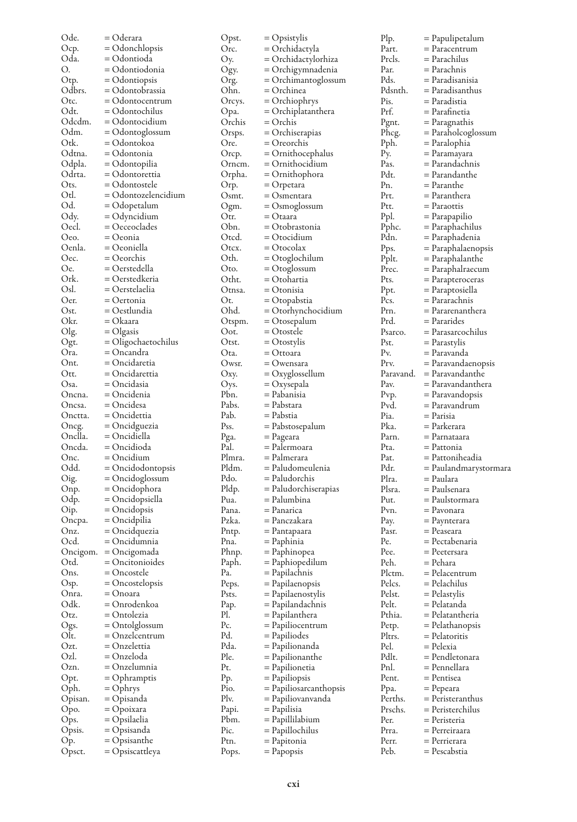| Ode.     | = Oderara           | Opst.  | $=$ Opsistylis         |
|----------|---------------------|--------|------------------------|
| Ocp.     | = Odonchlopsis      | Orc.   | = Orchidactyla         |
| Oda.     | = Odontioda         | Oy.    | = Orchidactylorhiza    |
|          |                     |        |                        |
| O.       | = Odontiodonia      | Ogy.   | = Orchigymnadenia      |
| Otp.     | = Odontiopsis       | Org.   | = Orchimantoglossum    |
| Odbrs.   | = Odontobrassia     | Ohn.   | = Orchinea             |
| Otc.     | = Odontocentrum     | Orcys. | = Orchiophrys          |
| Odt.     | = Odontochilus      | Opa.   | = Orchiplatanthera     |
| Odcdm.   |                     |        | = Orchis               |
|          | = Odontocidium      | Orchis |                        |
| Odm.     | = Odontoglossum     | Orsps. | = Orchiserapias        |
| Otk.     | = Odontokoa         | Ore.   | $=$ Oreorchis          |
| Odtna.   | = Odontonia         | Orcp.  | = Ornithocephalus      |
| Odpla.   | = Odontopilia       | Ornem. | = Ornithocidium        |
| Odrta.   | = Odontorettia      | Orpha. | = Ornithophora         |
|          |                     |        |                        |
| Ots.     | = Odontostele       | Orp.   | = Orpetara             |
| Otl.     | = Odontozelencidium | Osmt.  | = Osmentara            |
| Od.      | $=$ Odopetalum      | Ogm.   | $=$ Osmoglossum        |
| Ody.     | $=$ Odyncidium      | Otr.   | = Otaara               |
| Oecl.    | $=$ Oeceoclades     | Obn.   | = Otobrastonia         |
| Oeo.     | = Oeonia            | Otcd.  | = Otocidium            |
|          |                     |        |                        |
| Oenla.   | = Oeoniella         | Otex.  | $=$ Otocolax           |
| Oec.     | = Oeorchis          | Oth.   | = Otoglochilum         |
| Oe.      | = Oerstedella       | Oto.   | $=$ Otoglossum         |
| Ork.     | = Oerstedkeria      | Otht.  | = Otohartia            |
| Osl.     | = Oerstelaelia      | Otnsa. | = Otonisia             |
| Oer.     | = Oertonia          | Ot.    |                        |
|          |                     |        | = Otopabstia           |
| Ost.     | = Oestlundia        | Ohd.   | = Otorhynchocidium     |
| Okr.     | = Okaara            | Otspm. | = Otosepalum           |
| Olg.     | $=$ Olgasis         | Oot.   | = Otostele             |
| Ogt.     | = Oligochaetochilus | Otst.  | = Otostylis            |
| Ora.     | = Oncandra          | Ota.   | = Ottoara              |
| Ont.     | = Oncidaretia       | Owsr.  | = Owensara             |
|          |                     |        |                        |
| Ott.     | = Oncidarettia      | Oxy.   | = Oxyglossellum        |
| Osa.     | = Oncidasia         | Oys.   | = Oxysepala            |
| Oncna.   | = Oncidenia         | Pbn.   | = Pabanisia            |
| Oncsa.   | = Oncidesa          | Pabs.  | = Pabstara             |
| Onctta.  | = Oncidettia        | Pab.   | = Pabstia              |
| Oncg.    | = Oncidguezia       | Pss.   | = Pabstosepalum        |
|          |                     |        |                        |
| Onclla.  | = Oncidiella        | Pga.   | = Pageara              |
| Oncda.   | = Oncidioda         | Pal.   | = Palermoara           |
| Onc.     | = Oncidium          | Plmra. | = Palmerara            |
| Odd.     | = Oncidodontopsis   | Pldm.  | = Paludomeulenia       |
| Oig.     | = Oncidoglossum     | Pdo.   | = Paludorchis          |
| Onp.     | = Oncidophora       | Pldp.  | = Paludorchiserapias   |
|          |                     |        | = Palumbina            |
| Odp.     | = Oncidopsiella     | Pua.   |                        |
| Oip.     | $=$ Oncidopsis      | Pana.  | = Panarica             |
| Oncpa.   | = Oncidpilia        | Pzka.  | = Panczakara           |
| Onz.     | = Oncidquezia       | Pntp.  | = Pantapaara           |
| Ocd.     | = Oncidumnia        | Pna.   | = Paphinia             |
| Oncigom. | = Oncigomada        | Phnp.  | = Paphinopea           |
| Otd.     | $=$ Oncitonioides   |        |                        |
|          |                     | Paph.  | = Paphiopedilum        |
| Ons.     | = Oncostele         | Pa.    | = Papilachnis          |
| Osp.     | = Oncostelopsis     | Peps.  | = Papilaenopsis        |
| Onra.    | = Onoara            | Psts.  | = Papilaenostylis      |
| Odk.     | = Onrodenkoa        | Pap.   | = Papilandachnis       |
| Otz.     | = Ontolezia         | Pl.    | = Papilanthera         |
|          |                     | Pc.    |                        |
| Ogs.     | = Ontolglossum      |        | = Papiliocentrum       |
| Olt.     | = Onzelcentrum      | Pd.    | = Papiliodes           |
| Ozt.     | = Onzelettia        | Pda.   | = Papilionanda         |
| Ozl.     | = Onzeloda          | Ple.   | = Papilionanthe        |
| Ozn.     | = Onzelumnia        | Pt.    | = Papilionetia         |
| Opt.     | = Ophramptis        | Pp.    | = Papiliopsis          |
|          |                     | Pio.   |                        |
| Oph.     | = Ophrys            |        | = Papiliosarcanthopsis |
| Opisan.  | = Opisanda          | Plv.   | = Papiliovanvanda      |
| Opo.     | = Opoixara          | Papi.  | = Papilisia            |
| Ops.     | = Opsilaelia        | Pbm.   | = Papillilabium        |
| Opsis.   | = Opsisanda         | Pic.   | = Papillochilus        |
| Op.      | = Opsisanthe        | Ptn.   | = Papitonia            |
|          |                     |        |                        |
| Opsct.   | = Opsiscattleya     | Pops.  | = Papopsis             |

| Plp.           | = Papulipetalum                   |
|----------------|-----------------------------------|
| Part.          | = Paracentrum                     |
| Prcls.         | = Parachilus                      |
| Par.           | = Parachnis                       |
| Pds.           | = Paradisanisia                   |
| Pdsnth.        | = Paradisanthus                   |
| Pis.           | = Paradistia                      |
| Prf.           | = Parafinetia                     |
| Pgnt.          | = Paragnathis                     |
| Phcg.          | = Paraholcoglossum                |
| Pph.           | = Paralophia                      |
| Py.            | = Paramayara                      |
| Pas.           | = Parandachnis                    |
| Pdt.           | = Parandanthe                     |
| Pn.            | = Paranthe                        |
| Prt.           | = Paranthera                      |
| Ptt.           | = Paraottis                       |
| Ppl.           | = Parapapilio                     |
| Pphc.<br>Pdn.  | = Paraphachilus<br>= Paraphadenia |
| Pps.           | = Paraphalaenopsis                |
| Pplt.          | = Paraphalanthe                   |
| Prec.          | $=$ Paraphalraecum                |
| Pts.           | $=$ Parapteroceras                |
| Ppt.           | = Paraptosiella                   |
| Pcs.           | = Pararachnis                     |
| Prn.           | = Pararenanthera                  |
| Prd.           | = Pararides                       |
| Psarco.        | = Parasarcochilus                 |
| Pst.           | = Parastylis                      |
| Pv.            | = Paravanda                       |
| Prv.           | $=$ Paravandaenopsis              |
| Paravand.      | = Paravandanthe                   |
| Pav.           | = Paravandanthera                 |
| Pvp.           | = Paravandopsis                   |
| Pvd.           | = Paravandrum                     |
| Pia.           | = Parisia                         |
| Pka.<br>Parn.  | = Parkerara                       |
|                |                                   |
|                | = Parnataara                      |
| Pta.           | = Pattonia                        |
| Pat.           | = Pattoniheadia                   |
| Pdr.           | $=$ Paulandmarystormara           |
| Plra.          | = Paulara                         |
| Plsra.<br>Put. | = Paulsenara<br>= Paulstormara    |
| Pvn.           | = Pavonara                        |
| Pay.           |                                   |
| Pasr.          | $=$ Paynterara<br>= Peaseara      |
| Pe.            | = Pectabenaria                    |
| Pee.           | $=$ Peetersara                    |
| Peh.           | = Pehara                          |
| Plctm.         | = Pelacentrum                     |
| Pelcs.         | = Pelachilus                      |
| Pelst.         | = Pelastylis                      |
| Pelt.          | = Pelatanda                       |
| Pthia.         | = Pelatantheria                   |
| Petp.          | = Pelathanopsis                   |
| Pltrs.         | = Pelatoritis                     |
| Pel.           | = Pelexia                         |
| Pdlt.<br>Pnl.  | = Pendletonara<br>= Pennellara    |
|                | = Pentisea                        |
| Pent.<br>Ppa.  | = Pepeara                         |
| Perths.        | = Peristeranthus                  |
| Prschs.        | = Peristerchilus                  |
| Per.           | = Peristeria                      |
| Prra.          | $=$ Perreiraara                   |
| Perr.<br>Peb.  | = Perrierara<br>= Pescabstia      |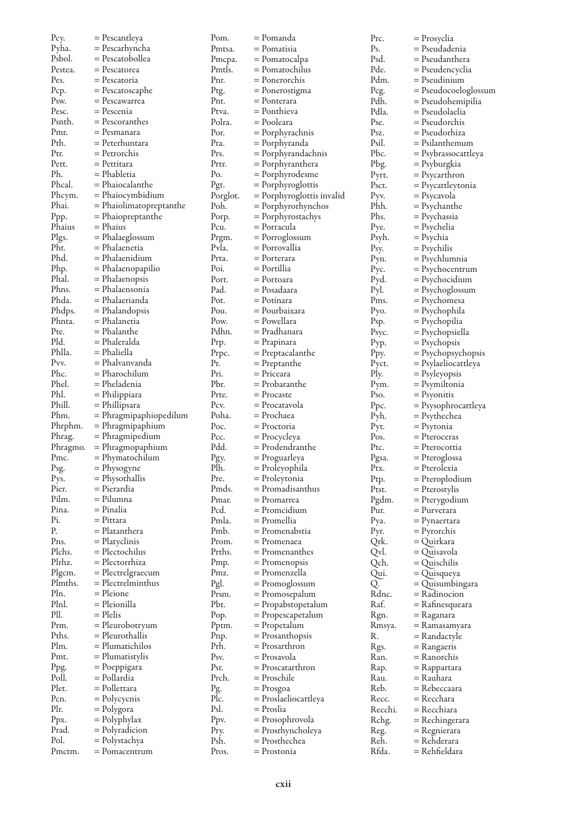| Pcy.           | = Pescantleya           | Pom.     | = Pomanda                 | Prc.    | = Prosyclia          |
|----------------|-------------------------|----------|---------------------------|---------|----------------------|
| Pyha.          | = Pescarhyncha          | Pmtsa.   | = Pomatisia               | Ps.     | = Pseudadenia        |
| Psbol.         | = Pescatobollea         | Pmcpa.   | = Pomatocalpa             | Psd.    | = Pseudanthera       |
| Pestea.        | $=$ Pescatorea          | Pmtls.   | = Pomatochilus            | Pde.    | = Pseudencyclia      |
| Pes.           | = Pescatoria            | Pnr.     | = Ponerorchis             | Pdm.    | = Pseudinium         |
| Pcp.           | $=$ Pescatoscaphe       | Ptg.     | = Ponerostigma            | Pcg.    | = Pseudocoeloglossum |
| Psw.           | = Pescawarrea           | Pnt.     | = Ponterara               | Pdh.    | = Pseudohemipilia    |
| Pesc.          | = Pescenia              | Ptva.    | = Ponthieva               | Pdla.   | = Pseudolaelia       |
| Psnth.         | = Pescoranthes          | Polra.   | = Pooleara                | Pse.    | = Pseudorchis        |
| Pmr.           | = Pesmanara             | Por.     | $=$ Porphyrachnis         | Psz.    | = Pseudorhiza        |
| Pth.           | = Peterhuntara          | Pra.     | = Porphyranda             | Psil.   | = Psilanthemum       |
| Ptr.           | = Petrorchis            | Prs.     | = Porphyrandachnis        | Pbc.    |                      |
| Pett.          | = Pettitara             | Prtr.    |                           |         | = Psybrassocattleya  |
| Ph.            | = Phabletia             | Po.      | = Porphyranthera          | Pbg.    | = Psyburgkia         |
| Phcal.         |                         |          | = Porphyrodesme           | Pyrt.   | = Psycarthron        |
|                | = Phaiocalanthe         | Pgt.     | $=$ Porphyroglottis       | Psct.   | = Psycattleytonia    |
| Phcym.         | = Phaiocymbidium        | Porglot. | = Porphyroglottis invalid | Pyv.    | = Psycavola          |
| Phai.          | = Phaiolimatopreptanthe | Poh.     | = Porphyrorhynchos        | Phh.    | = Psychanthe         |
| Ppp.           | = Phaiopreptanthe       | Porp.    | = Porphyrostachys         | Phs.    | = Psychassia         |
| Phaius         | = Phaius                | Pcu.     | = Porracula               | Pye.    | = Psychelia          |
| Plgs.          | = Phalaeglossum         | Prgm.    | = Porroglossum            | Psyh.   | = Psychia            |
| Pht.           | = Phalaenetia           | Pvla.    | = Porrovallia             | Psy.    | = Psychilis          |
| Phd.           | = Phalaenidium          | Prta.    | = Porterara               | Pyn.    | = Psychlumnia        |
| Php.           | = Phalaenopapilio       | Poi.     | = Portillia               | Pус.    | = Psychocentrum      |
| Phal.          | = Phalaenopsis          | Port.    | = Portoara                | Pyd.    | = Psychocidium       |
| Phns.          | = Phalaensonia          | Pad.     | = Posadaara               | Pyl.    | = Psychoglossum      |
| Phda.          | = Phalaerianda          | Pot.     | = Potinara                | Pms.    | = Psychomesa         |
| Phdps.         | $=$ Phalandopsis        | Pou.     | = Pourbaixara             | Pyo.    | = Psychophila        |
| Phnta.         | = Phalanetia            | Pow.     | = Powellara               | Psp.    | = Psychopilia        |
| Pte.           | = Phalanthe             | Pdhn.    | = Pradhanara              | Psyc.   | = Psychopsiella      |
| Pld.           | = Phaleralda            | Prp.     | = Prapinara               | Pyp.    | = Psychopsis         |
| Phlla.         | = Phaliella             | Prpc.    | = Preptacalanthe          | Ppy.    | = Psychopsychopsis   |
| Pvv.           | = Phalvanvanda          | Pr.      | = Preptanthe              | Pyct.   | = Psylaeliocattleya  |
| Phc.           | = Pharochilum           | Pri.     | = Priceara                | Ply.    | = Psyleyopsis        |
| Phel.          | = Pheladenia            | Pbr.     | = Probaranthe             | Pym.    | = Psymiltonia        |
| Phl.           | = Philippiara           | Prte.    | $=$ Procaste              | Pso.    |                      |
| Phill.         | = Phillipsara           | Pcv.     | = Procatavola             |         | = Psyonitis          |
| Phm.           |                         | Poha.    | = Prochaea                | Ppc.    | = Psysophrocattleya  |
|                | = Phragmipaphiopedilum  |          |                           | Pyh.    | = Psythechea         |
| Phrphm.        | = Phragmipaphium        | Poc.     | = Proctoria               | Pyt.    | = Psytonia           |
| Phrag.         | $=$ Phragmipedium       | Pcc.     | = Procycleya              | Pos.    | = Pteroceras         |
| Phragmo.       | $=$ Phragmopaphium      | Pdd.     | = Prodendranthe           | Ptc.    | = Pterocottia        |
| Pmc.           | = Phymatochilum         | Pgy.     | = Proguarleya             | Pgsa.   | = Pteroglossa        |
| Psg.           | = Physogyne             | Plh.     | = Proleyophila            | Ptx.    | = Pterolexia         |
| Pys.           | = Physothallis          | Pre.     | = Proleytonia             | Ptp.    | = Pteroplodium       |
| Pier.          | = Pierardia             | Pmds.    | = Promadisanthus          | Ptst.   | = Pterostylis        |
| Pilm.          | = Pilumna               | Pmar.    | = Promarrea               | Pgdm.   | = Pterygodium        |
| Pina.          | = Pinalia               | Pcd.     | = Promcidium              | Pur.    | = Purverara          |
| Pi.            | $=$ Pittara             | Pmla.    | = Promellia               | Pya.    | = Pynaertara         |
| Р.             |                         |          |                           |         |                      |
| Pns.           | = Platanthera           | Pmb.     | = Promenabstia            | Pyr.    | $=$ Pyrorchis        |
|                | $=$ Platyclinis         | Prom.    | = Promenaea               | Qrk.    | = Quirkara           |
| Plchs.         | = Plectochilus          | Prths.   | = Promenanthes            |         |                      |
| Plrhz.         | = Plectorrhiza          |          |                           | Qvl.    | = Quisavola          |
|                |                         | Pmp.     | = Promenopsis             | Qch.    | = Quischilis         |
| Plgcm.         | $=$ Plectrelgraecum     | Pmz.     | = Promenzella             | Qui.    | = Quisqueya          |
| Plmths.        | $=$ Plectrelminthus     | Pgl.     | = Promoglossum            | Q.      | = Quisumbingara      |
| Pln.           | = Pleione               | Prsm.    | = Promosepalum            | Rdnc.   | = Radinocion         |
| Plnl.          | = Pleionilla            | Pbt.     | = Propabstopetalum        | Raf.    | = Rafinesqueara      |
| Pll.           | $=$ Plelis              | Pop.     | = Propescapetalum         | Rgn.    | = Raganara           |
| Prm.           | = Pleurobotryum         | Pptm.    | = Propetalum              | Rmsya.  | = Ramasamyara        |
| Pths.          | = Pleurothallis         | Pnp.     | = Prosanthopsis           | R.      | = Randactyle         |
| Plm.           | = Plumatichilos         | Prh.     | = Prosarthron             | Rgs.    | = Rangaeris          |
| Pmt.           | = Plumatistylis         | Psv.     | = Prosavola               | Ran.    | = Ranorchis          |
| Ppg.           | $=$ Poeppigara          | Psr.     | = Proscatarthron          | Rap.    | = Rappartara         |
| Poll.          | = Pollardia             | Prch.    | = Proschile               | Rau.    | = Rauhara            |
| Plet.          | = Pollettara            | Pg.      | = Prosgoa                 | Reb.    | = Rebeccaara         |
| Pcn.           | = Polycycnis            | Plc.     | = Proslaeliocattleya      | Recc.   | = Recchara           |
| Plr.           | = Polygora              | Psl.     | = Proslia                 | Recchi. | = Recchiara          |
| Ppx.           | = Polyphylax            | Ppv.     | = Prosophrovola           | Rchg.   | = Rechingerara       |
| Prad.          | = Polyradicion          | Pry.     | = Prosrhyncholeya         | Reg.    | = Regnierara         |
| Pol.<br>Pmctm. | = Polystachya           | Psh.     | = Prosthechea             | Reh.    | = Rehderara          |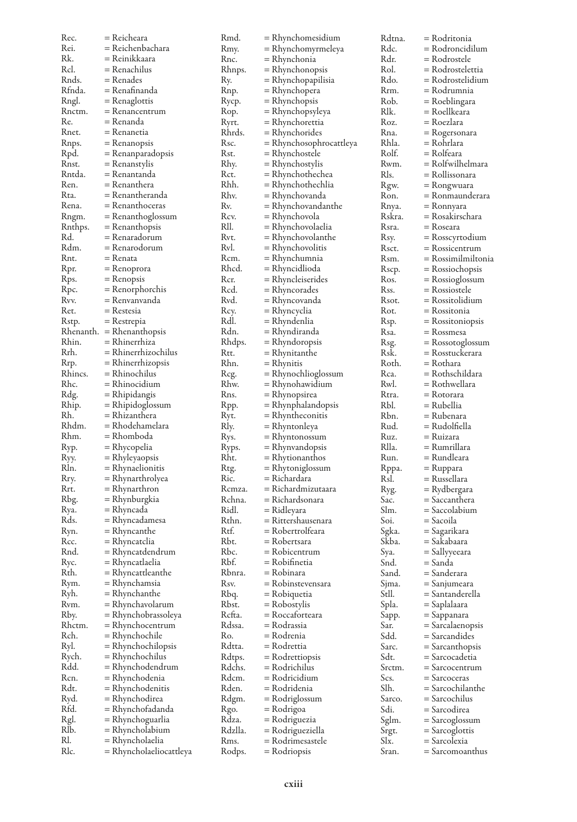| Rec.    | = Reicheara                 | Rmd.    | = Rhynchomesidium       | Rdtna  |
|---------|-----------------------------|---------|-------------------------|--------|
| Rei.    | = Reichenbachara            | Kmy.    | = Rhynchomyrmeleya      | Rdc.   |
| Rk.     | = Reinikkaara               | Rnc.    | = Rhynchonia            | Rdr.   |
| Rcl.    | = Renachilus                | Rhnps.  | = Rhynchonopsis         | Rol.   |
| Rnds.   | = Renades                   | Ry.     | = Rhynchopapilisia      | Rdo.   |
| Rfnda.  | = Renafinanda               | Rnp.    | = Rhynchopera           | Rrm.   |
| Rngl.   | $=$ Renaglottis             | Rycp.   | = Rhynchopsis           | Rob.   |
| Rnctm.  | $=$ Renancentrum            | Rop.    | = Rhynchopsyleya        | Rlk.   |
| Re.     | = Renanda                   | Ryrt.   | = Rhynchorettia         | Roz.   |
| Rnet.   | = Renanetia                 | Rhrds.  | $=$ Rhynchorides        | Rna.   |
| Rnps.   | $=$ Renanopsis              | Rsc.    | = Rhynchosophrocattleya | Rhla.  |
| Rpd.    | $=$ Renanparadopsis         | Rst.    | = Rhynchostele          | Rolf.  |
| Rnst.   | = Renanstylis               | Rhy.    | = Rhynchostylis         | Rwm.   |
| Rntda.  | = Renantanda                | Rct.    | = Rhynchothechea        | Rls.   |
| Ren.    | = Renanthera                | Rhh.    | = Rhynchothechlia       | Rgw.   |
| Rta.    | = Renantheranda             | Rhv.    | = Rhynchovanda          | Ron.   |
| Rena.   | $=$ Renanthoceras           | Rv.     | = Rhynchovandanthe      | Rnya.  |
| Rngm.   | = Renanthoglossum           | Rcv.    | = Rhynchovola           | Rskra  |
| Rnthps. | $=$ Renanthopsis            | RII.    | = Rhynchovolaelia       | Rsra.  |
| Rd.     | = Renaradorum               | Rvt.    | = Rhynchovolanthe       | Rsy.   |
| Rdm.    | = Renarodorum               | Rvl.    | = Rhynchovolitis        | Rsct.  |
| Rnt.    | = Renata                    | Rcm.    | = Rhynchumnia           | Rsm.   |
| Rpr.    | $=$ Renoprora               | Rhcd.   | = Rhyncidlioda          | Rscp.  |
| Rps.    | $=$ Renopsis                | Rcr.    | = Rhyncleiserides       | Ros.   |
| Rpc.    | $=$ Renorphorchis           | Rcd.    | = Rhyncorades           | Rss.   |
| Rvv.    | = Renvanvanda               | Rvd.    | = Rhyncovanda           | Rsot.  |
| Ret.    | $=$ Restesia                | Rcy.    | = Rhyncyclia            | Rot.   |
| Rstp.   | $=$ Restrepia               | Rdl.    | = Rhyndenlia            | Rsp.   |
|         | $Rhenanth. = Rhenanthopsis$ | Rdn.    | = Rhyndiranda           | Rsa.   |
| Rhin.   | = Rhinerrhiza               | Rhdps.  | = Rhyndoropsis          | Rsg.   |
| Rrh.    | $=$ Rhinerrhizochilus       | Rtt.    | = Rhynitanthe           | Rsk.   |
| Rrp.    | = Rhinerrhizopsis           | Rhn.    | = Rhynitis              | Roth.  |
| Rhincs. | = Rhinochilus               | Reg.    | = Rhynochlioglossum     | Rca.   |
| Rhc.    | = Rhinocidium               | Rhw.    | = Rhynohawidium         | Rwl.   |
| Rdg.    | $=$ Rhipidangis             | Rns.    | = Rhynopsirea           | Rtra.  |
| Rhip.   | $=$ Rhipidoglossum          | Rpp.    | = Rhynphalandopsis      | Rbl.   |
| Rh.     | = Rhizanthera               | Kyt.    | = Rhyntheconitis        | Rbn.   |
| Rhdm.   | = Rhodehamelara             | Rly.    | = Rhyntonleya           | Rud.   |
| Rhm.    | = Rhomboda                  | Rys.    | = Rhyntonossum          | Ruz.   |
| Ryp.    | = Rhycopelia                | Ryps.   | = Rhynvandopsis         | Rlla.  |
| Ryy.    | $=$ Rhyleyaopsis            | Rht.    | = Rhytionanthos         | Run.   |
| Rln.    | $=$ Rhynaelionitis          | Rtg.    | $=$ Rhytoniglossum      | Rppa.  |
| Rry.    | = Rhynarthrolyea            | Ric.    | = Richardara            | Rsl.   |
| Rrt.    | = Rhynarthron               | Rcmza.  | $=$ Richardmizutaara    | Ryg.   |
| Rbg.    | = Rhynburgkia               | Rchna.  | = Richardsonara         | Sac.   |
| Kya.    | = Rhyncada                  | Ridl.   | = Ridleyara             | Slm.   |
| Rds.    | = Rhyncadamesa              | Rthn.   | = Rittershausenara      | Soi.   |
| Kyn.    | = Rhyncanthe                | Rtf.    | = Robertrolfeara        | Sgka.  |
| Rcc.    | = Rhyncatclia               | Rbt.    | = Robertsara            | Skba.  |
| Rnd.    | = Rhyncatdendrum            | Rbc.    | $=$ Robicentrum         | Sya.   |
| Ryc.    | = Rhyncatlaelia             | Rbf.    | $=$ Robifinetia         | Snd.   |
| Rth.    | = Rhyncattleanthe           | Rbnra.  | = Robinara              | Sand.  |
| Rym.    | = Rhynchamsia               | Rsv.    | = Robinstevensara       | Sjma.  |
| Ryh.    | = Rhynchanthe               | Rbq.    | = Robiquetia            | Stll.  |
| Rvm.    | = Rhynchavolarum            | Rbst.   | = Robostylis            | Spla.  |
| Rby.    | = Rhynchobrassoleya         | Rcfta.  | = Roccaforteara         | Sapp.  |
| Rhctm.  | = Rhynchocentrum            | Rdssa.  | = Rodrassia             | Sar.   |
| Rch.    | = Rhynchochile              | Ro.     | = Rodrenia              | Sdd.   |
| Ryl.    | = Rhynchochilopsis          | Rdtta.  | = Rodrettia             | Sarc.  |
| Rych.   | = Rhynchochilus             | Rdtps.  | = Rodrettiopsis         | Sdt.   |
| Rdd.    | = Rhynchodendrum            | Rdchs.  | = Rodrichilus           | Srctm  |
| Rcn.    | = Rhynchodenia              | Rdcm.   | = Rodricidium           | Scs.   |
| Rdt.    | = Rhynchodenitis            | Rden.   | = Rodridenia            | Slh.   |
| Ryd.    | = Rhynchodirea              | Rdgm.   | = Rodriglossum          | Sarco. |
| Rfd.    | = Rhynchofadanda            | Rgo.    | = Rodrigoa              | Sdi.   |
| Rgl.    | = Rhynchoguarlia            | Rdza.   | = Rodriguezia           | Sglm.  |
| RIb.    | = Rhyncholabium             | Rdzlla. | = Rodrigueziella        | Srgt.  |
| RI.     | = Rhyncholaelia             | Kms.    | = Rodrimesastele        | Slx.   |
| Rlc.    | = Rhyncholaeliocattleya     | Rodps.  | = Rodriopsis            | Sran.  |

| Rdtna. | = Rodritonia       |
|--------|--------------------|
| Rdc.   | = Rodroncidilum    |
| Rdr.   | = Rodrostele       |
| Rol.   | = Rodrostelettia   |
| Rdo.   | = Rodrostelidium   |
|        |                    |
| Rrm.   | = Rodrumnia        |
| Rob.   | = Roeblingara      |
| Rlk.   | = Roellkeara       |
| Roz.   | = Roezlara         |
| Rna.   | = Rogersonara      |
| Rhla.  | = Rohrlara         |
| Rolf.  | = Rolfeara         |
| Rwm.   | = Rolfwilhelmara   |
| Rls.   | = Rollissonara     |
| Rgw.   | = Rongwuara        |
|        |                    |
| Ron.   | = Ronmaunderara    |
| Rnya.  | = Ronnyara         |
| Rskra. | = Rosakirschara    |
| Rsra.  | = Roseara          |
| Rsy.   | = Rosscyrtodium    |
| Rsct.  | = Rossicentrum     |
| Rsm.   | = Rossimilmiltonia |
| Rscp.  | = Rossiochopsis    |
| Ros.   | = Rossioglossum    |
| Rss.   | = Rossiostele      |
| Rsot.  | = Rossitolidium    |
|        |                    |
| Rot.   | = Rossitonia       |
| Rsp.   | = Rossitoniopsis   |
| Rsa.   | = Rossmesa         |
| Rsg.   | = Rossotoglossum   |
| Rsk.   | = Rosstuckerara    |
| Roth.  | = Rothara          |
| Rca.   | = Rothschildara    |
| Rwl.   | = Rothwellara      |
| Rtra.  | = Rotorara         |
| Rbl.   | = Rubellia         |
| Rbn.   | = Rubenara         |
|        |                    |
| Rud.   | = Rudolfiella      |
| Ruz.   | = Ruizara          |
| Rlla.  | = Rumrillara       |
| Run.   | = Rundleara        |
| Rppa.  | = Ruppara          |
| Rsl.   | = Russellara       |
| Ryg.   | = Rydbergara       |
| Sac.   | = Saccanthera      |
| Slm.   | = Saccolabium      |
| Soi.   | = Sacoila          |
| Sgka.  | = Sagarikara       |
|        |                    |
| Skba.  | = Sakabaara        |
| Sya.   | = Sallyyeeara      |
| Snd.   | = Sanda            |
| Sand.  | $=$ Sanderara      |
| Sjma.  | = Sanjumeara       |
| Stll.  | = Santanderella    |
| Spla.  | = Saplalaara       |
| Sapp.  | = Sappanara        |
| Sar.   | = Sarcalaenopsis   |
| Sdd.   | = Sarcandides      |
| Sarc.  | = Sarcanthopsis    |
| Sdt.   | = Sarcocadetia     |
|        |                    |
| Srctm. | $=$ Sarcocentrum   |
| Scs.   | = Sarcoceras       |
| Slh.   | = Sarcochilanthe   |
| Sarco. | = Sarcochilus      |
| Sdi.   | = Sarcodirea       |
| Sglm.  | = Sarcoglossum     |
| Srgt.  | $=$ Sarcoglottis   |
| Slx.   | = Sarcolexia       |
| Sran.  | = Sarcomoanthus    |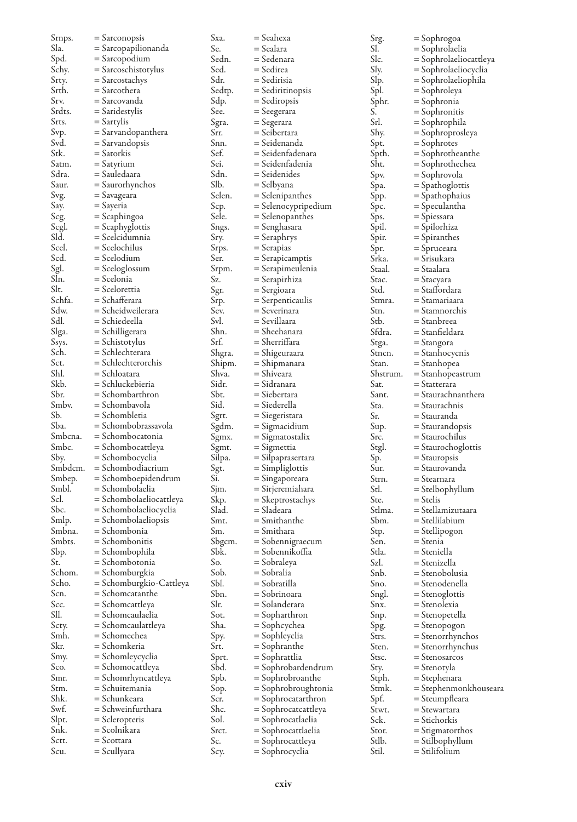| Srnps.  | $=$ Sarconopsis                      | Sxa.   | = Seahexa           | Srg.     | = Sophrogoa            |
|---------|--------------------------------------|--------|---------------------|----------|------------------------|
| Sla.    | = Sarcopapilionanda                  | Se.    | = Sealara           | SI.      | = Sophrolaelia         |
| Spd.    | = Sarcopodium                        | Sedn.  | = Sedenara          | Slc.     | = Sophrolaeliocattleya |
| Schy.   | = Sarcoschistotylus                  | Sed.   | = Sedirea           | Sly.     | = Sophrolaeliocyclia   |
| Srty.   | $=$ Sarcostachys                     | Sdr.   | = Sedirisia         | Slp.     | = Sophrolaeliophila    |
| Srth.   | = Sarcothera                         | Sedtp. | = Sediritinopsis    | Spl.     | = Sophroleya           |
| Srv.    | = Sarcovanda                         | Sdp.   | = Sediropsis        | Sphr.    | = Sophronia            |
| Srdts.  | $=$ Saridestylis                     | See.   | = Seegerara         | S.       | = Sophronitis          |
| Srts.   | $=$ Sartylis                         | Sgra.  | = Segerara          | Srl.     | = Sophrophila          |
| Svp.    | = Sarvandopanthera                   | Srr.   | = Seibertara        | Shy.     | = Sophroprosleya       |
| Svd.    | = Sarvandopsis                       | Snn.   | = Seidenanda        | Spt.     | = Sophrotes            |
| Stk.    | $=$ Satorkis                         | Sef.   | = Seidenfadenara    | Spth.    | = Sophrotheanthe       |
| Satm.   | $=$ Satyrium                         | Sei.   | = Seidenfadenia     | Sht.     | = Sophrothechea        |
| Sdra.   | = Sauledaara                         | Sdn.   | = Seidenides        | Spv.     | = Sophrovola           |
| Saur.   | $=$ Saurorhynchos                    | Slb.   | = Selbyana          |          |                        |
|         |                                      |        |                     | Spa.     | = Spathoglottis        |
| Svg.    | = Savageara                          | Selen. | $=$ Selenipanthes   | Spp.     | = Spathophaius         |
| Say.    | = Sayeria                            | Scp.   | = Selenocypripedium | Spc.     | = Speculantha          |
| Scg.    | = Scaphingoa                         | Sele.  | $=$ Selenopanthes   | Sps.     | = Spiessara            |
| Scgl.   | $=$ Scaphyglottis                    | Sngs.  | = Senghasara        | Spil.    | = Spilorhiza           |
| Sld.    | = Scelcidumnia                       | Sry.   | = Seraphrys         | Spir.    | = Spiranthes           |
| Scel.   | $=$ Scelochilus                      | Srps.  | = Serapias          | Spr.     | = Spruceara            |
| Scd.    | = Scelodium                          | Ser.   | = Serapicamptis     | Srka.    | = Srisukara            |
| Sgl.    | $=$ Sceloglossum                     | Srpm.  | = Serapimeulenia    | Staal.   | = Staalara             |
| Sln.    | = Scelonia                           | Sz.    | = Serapirhiza       | Stac.    | = Stacyara             |
| Slt.    | = Scelorettia                        | Sgr.   | = Sergioara         | Std.     | = Staffordara          |
| Schfa.  | = Schafferara                        | Srp.   | = Serpenticaulis    | Stmra.   | = Stamariaara          |
| Sdw.    | = Scheidweilerara                    | Sev.   | = Severinara        | Stn.     | = Stamnorchis          |
| Sdl.    | = Schiedeella                        | Svl.   | = Sevillaara        | Stb.     | = Stanbreea            |
| Slga.   | = Schilligerara                      | Shn.   | = Sheehanara        | Sfdra.   | = Stanfieldara         |
| Ssys.   | $=$ Schistotylus                     | Srf.   | = Sherriffara       | Stga.    | = Stangora             |
| Sch.    | = Schlechterara                      | Shgra. | = Shigeuraara       | Stncn.   | = Stanhocycnis         |
| Sct.    | = Schlechterorchis                   | Shipm. | = Shipmanara        | Stan.    | = Stanhopea            |
| Shl.    | = Schloatara                         | Shva.  | = Shiveara          | Shstrum. | = Stanhopeastrum       |
| Skb.    | = Schluckebieria                     | Sidr.  | = Sidranara         | Sat.     | = Statterara           |
| Sbr.    | = Schombarthron                      | Sbt.   | = Siebertara        | Sant.    | = Staurachnanthera     |
| Smbv.   | = Schombavola                        | Sid.   | = Siederella        | Sta.     | = Staurachnis          |
| Sb.     | = Schombletia                        | Sgrt.  | = Siegeristara      | Sr.      | = Stauranda            |
| Sba.    | = Schombobrassavola                  | Sgdm.  | = Sigmacidium       | Sup.     | = Staurandopsis        |
| Smbcna. | = Schombocatonia                     | Sgmx.  | = Sigmatostalix     | Src.     | = Staurochilus         |
| Smbc.   |                                      |        |                     |          |                        |
|         | = Schombocattleya<br>= Schombocyclia | Sgmt.  | = Sigmettia         | Stgl.    | = Staurochoglottis     |
| Sby.    |                                      | Silpa. | = Silpaprasertara   | Sp.      | = Stauropsis           |
| Smbdcm. | = Schombodiacrium                    | Sgt.   | $=$ Simpliglottis   | Sur.     | = Staurovanda          |
| Smbep.  | = Schomboepidendrum                  | Si.    | = Singaporeara      | Strn.    | = Stearnara            |
| Smbl.   | = Schombolaelia                      | Sjm.   | = Sirjeremiahara    | Stl.     | = Stelbophyllum        |
| Scl.    | = Schombolaeliocattleya              | Skp.   | = Skeptrostachys    | Ste.     | = Stelis               |
| Sbc.    | = Schombolaeliocyclia                | Slad.  | = Sladeara          | Stlma.   | = Stellamizutaara      |
| Smlp.   | = Schombolaeliopsis                  | Smt.   | = Smithanthe        | Sbm.     | = Stellilabium         |
| Smbna.  | = Schombonia                         | Sm.    | = Smithara          | Stp.     | = Stellipogon          |
| Smbts.  | = Schombonitis                       | Sbgcm. | = Sobennigraecum    | Sen.     | = Stenia               |
| Sbp.    | = Schombophila                       | Sbk.   | = Sobennikoffia     | Stla.    | = Steniella            |
| St.     | = Schombotonia                       | So.    | = Sobraleya         | Szl.     | = Stenizella           |
| Schom.  | = Schomburgkia                       | Sob.   | = Sobralia          | Snb.     | = Stenobolusia         |
| Scho.   | = Schomburgkio-Cattleya              | Sbl.   | = Sobratilla        | Sno.     | = Stenodenella         |
| Scn.    | = Schomcatanthe                      | Sbn.   | = Sobrinoara        | Sngl.    | = Stenoglottis         |
| Scc.    | = Schomcattleya                      | Slr.   | = Solanderara       | Snx.     | = Stenolexia           |
| SII.    | = Schomcaulaelia                     | Sot.   | = Sopharthron       | Snp.     | = Stenopetella         |
| Scty.   | = Schomcaulattleya                   | Sha.   | = Sophcychea        | Spg.     | = Stenopogon           |
| Smh.    | = Schomechea                         | Spy.   | = Sophleyclia       | Strs.    | = Stenorrhynchos       |
| Skr.    | = Schomkeria                         | Srt.   | = Sophranthe        | Sten.    | = Stenorrhynchus       |
| Smy.    | = Schomleycyclia                     | Sprt.  | = Sophrattlia       | Stsc.    | = Stenosarcos          |
| Sco.    | = Schomocattleya                     | Sbd.   | = Sophrobardendrum  | Sty.     | = Stenotyla            |
| Smr.    | = Schomrhyncattleya                  | Spb.   | = Sophrobroanthe    | Stph.    | = Stephenara           |
| Stm.    | = Schuitemania                       | Sop.   | = Sophrobroughtonia | Stmk.    | = Stephenmonkhouseara  |
| Shk.    | = Schunkeara                         | Scr.   | = Sophrocatarthron  | Spf.     | = Steumpfleara         |
| Swf.    | = Schweinfurthara                    | Shc.   | = Sophrocatcattleya | Stwt.    | = Stewartara           |
| Slpt.   | = Scleropteris                       | Sol.   | = Sophrocatlaelia   | Sck.     | = Stichorkis           |
| Snk.    | = Scolnikara                         | Srct.  | = Sophrocattlaelia  | Stor.    | = Stigmatorthos        |
| Sctt.   | $=$ Scottara                         | Sc.    |                     | Stlb.    |                        |
| Scu.    |                                      |        | = Sophrocattleya    | Stil.    | = Stilbophyllum        |
|         | = Scullyara                          | Scy.   | = Sophrocyclia      |          | = Stilifolium          |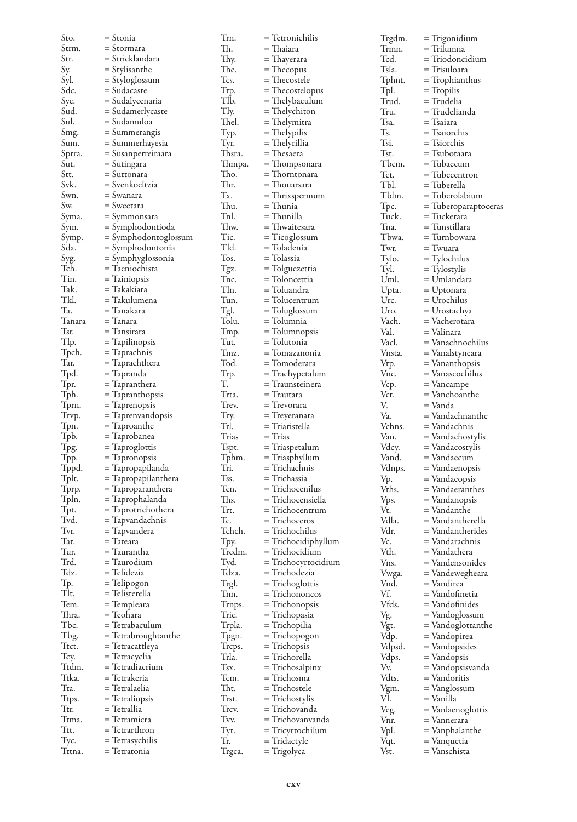| Sto.         | = Stonia                        | Trn.         | = Tetronichilis                      | Trgdm.       | = Trigonidium                   |
|--------------|---------------------------------|--------------|--------------------------------------|--------------|---------------------------------|
| Strm.        | = Stormara                      | Th.          | = Thaiara                            | Trmn.        | = Trilumna                      |
| Str.         | = Stricklandara                 | Thy.         | = Thayerara                          | Tcd.         | = Triodoncidium                 |
| Sy.          | = Stylisanthe                   | The.         | $=$ Thecopus                         | Tsla.        | = Trisuloara                    |
| Syl.         | = Styloglossum                  | Tcs.         | $=$ Thecostele                       | Tphnt.       | = Trophianthus                  |
| Sdc.         | = Sudacaste                     | Ttp.         | $=$ Thecostelopus                    | Tpl.         | $=$ Tropilis                    |
| Syc.         | = Sudalycenaria                 | Tlb.         | = Thelybaculum                       | Trud.        | = Trudelia                      |
| Sud.         | = Sudamerlycaste                | Tly.         | = Thelychiton                        | Tru.         | = Trudelianda                   |
| Sul.         | = Sudamuloa                     | Thel.        | = Thelymitra                         | Tsa.         | = Tsaiara                       |
| Smg.         | $=$ Summerangis                 | Typ.         | $=$ Thelypilis                       | Ts.          | = Tsaiorchis                    |
| Sum.         | = Summerhayesia                 | Tyr.         | = Thelyrillia                        | Tsi.         | = Tsiorchis                     |
| Sprra.       | = Susanperreiraara              | Thsra.       | = Thesaera                           | Tst.         | = Tsubotaara                    |
| Sut.         | = Sutingara                     | Thmpa.       | = Thompsonara                        | Tbcm.        | = Tubaecum                      |
| Stt.         | = Suttonara                     | Tho.         | = Thorntonara                        | Tct.         | $=$ Tubecentron                 |
| Svk.         | = Svenkoeltzia                  | Thr.         | = Thouarsara                         | TЫ.          | = Tuberella                     |
| Swn.         | = Swanara                       | Tx.          | $=$ Thrixspermum                     | Tblm.        | = Tuberolabium                  |
| Sw.          | = Sweetara                      | Thu.         | = Thunia                             | Tpc.         | = Tuberoparaptoceras            |
| Syma.        | = Symmonsara                    | Tnl.         | = Thunilla                           | Tuck.        | = Tuckerara                     |
| Sym.         | = Symphodontioda                | Thw.         | = Thwaitesara                        | Tna.         | = Tunstillara                   |
| Symp.        | = Symphodontoglossum            | Tic.         | $=$ Ticoglossum                      | Tbwa.        | = Turnbowara                    |
| Sda.         | = Symphodontonia                | Tld.         | = Toladenia                          | Twr.         | $=$ Twuara                      |
| Syg.         | = Symphyglossonia               | Tos.         | = Tolassia                           | Tylo.        | = Tylochilus                    |
| Tch.         | = Taeniochista                  | Tgz.         | = Tolguezettia                       | Tyl.         | $=$ Tylostylis                  |
| Tin.         | $=$ Tainiopsis                  | Tnc.         | = Toloncettia                        | Uml.         | = Umlandara                     |
| Tak.         | = Takakiara                     | Tln.         | = Toluandra                          | Upta.        | $=$ Uptonara                    |
| Tkl.         | = Takulumena                    | Tun.         | $=$ Tolucentrum                      | Urc.         | = Urochilus                     |
| Ta.          | = Tanakara                      | Tgl.         | = Toluglossum                        | Uro.         | $=$ Urostachya                  |
| Tanara       | $=$ Tanara                      | Tolu.        | = Tolumnia                           | Vach.        | = Vacherotara                   |
| Tsr.         | = Tansirara                     | Tmp.         | $=$ Tolumnopsis                      | Val.         | = Valinara                      |
| Tlp.         | = Tapilinopsis                  | Tut.         | = Tolutonia                          | Vacl.        | = Vanachnochilus                |
| Tpch.        | = Taprachnis                    | Tmz.         | $=$ Tomazanonia                      | Vnsta.       | = Vanalstyneara                 |
| Tar.         | = Taprachthera                  | Tod.         | = Tomoderara                         | Vtp.         | $=$ Vananthopsis                |
| Tpd.         | = Tapranda                      | Trp.         | = Trachypetalum                      | Vnc.         | = Vanascochilus                 |
| Tpr.         | = Tapranthera                   | T.           | $=$ Traunsteinera                    | Vcp.         | = Vancampe                      |
| Tph.         | = Tapranthopsis                 | Trta.        | = Trautara                           | Vct.         | = Vanchoanthe                   |
| Tprn.        | = Taprenopsis                   | Trev.        | = Trevorara                          | V.           | = Vanda                         |
| Trvp.        | = Taprenvandopsis               | Try.         | = Treyeranara                        | Va.          | = Vandachnanthe                 |
| Tpn.         | = Taproanthe                    | Trl.         | = Triaristella                       | Vchns.       | = Vandachnis                    |
| Tpb.         | = Taprobanea                    | Trias        | $=$ Trias                            | Van.         | = Vandachostylis                |
| Tpg.         | = Taproglottis                  | Tspt.        | = Triaspetalum                       | Vdcy.        | = Vandacostylis                 |
| Tpp.         | = Tapronopsis                   | Tphm.        | = Triasphyllum                       | Vand.        | = Vandaecum                     |
| Tppd.        | = Tapropapilanda                | Tri.         | = Trichachnis                        | Vdnps.       | = Vandaenopsis                  |
| Tplt.        | = Tapropapilanthera             | Tss.         | = Trichassia                         | Vp.          | = Vandaeopsis                   |
| Tprp.        | = Taproparanthera               | Tcn.<br>Ths. | = Trichocenilus                      | Vths.        | = Vandaeranthes                 |
| Tpln.        | = Taprophalanda                 |              | = Trichocensiella<br>= Trichocentrum | Vps.         | = Vandanopsis                   |
| Tpt.<br>Tvd. | = Taprotrichothera              | Trt.<br>Tc.  | = Trichoceros                        | Vt.<br>Vdla. | = Vandanthe<br>= Vandantherella |
| Tvr.         | = Tapvandachnis<br>= Tapvandera | Tchch.       | = Trichochilus                       | Vdr.         | = Vandantherides                |
| Tat.         | = Tateara                       | Tpy.         | = Trichocidiphyllum                  | Vc.          | = Vandarachnis                  |
| Tur.         | = Taurantha                     | Trcdm.       | = Trichocidium                       | Vth.         | = Vandathera                    |
| Trd.         | = Taurodium                     | Tvd.         | $=$ Trichocyrtocidium                | Vns.         | = Vandensonides                 |
| Tdz.         | = Telidezia                     | Tdza.        | = Trichodezia                        | Vwga.        | = Vandewegheara                 |
| Tp.          | = Telipogon                     | Trgl.        | $=$ Trichoglottis                    | Vnd.         | = Vandirea                      |
| Tlt.         | = Telisterella                  | Tnn.         | = Trichononcos                       | Vf.          | = Vandofinetia                  |
| Tem.         | = Templeara                     | Trnps.       | $=$ Trichonopsis                     | Vfds.        | = Vandofinides                  |
| Thra.        | = Teohara                       | Tric.        | = Trichopasia                        | Vg.          | = Vandoglossum                  |
| Tbc.         | = Tetrabaculum                  | Trpla.       | = Trichopilia                        | Vgt.         | $=$ Vandoglottanthe             |
| Tbg.         | $=$ Tetrabroughtanthe           | Tpgn.        | $=$ Trichopogon                      | Vdp.         | = Vandopirea                    |
| Ttct.        | = letracattleya                 | Treps.       | $=$ Trichopsis                       | Vdpsd.       | = Vandopsides                   |
| Tcy.         | = Tetracyclia                   | Trla.        | = Trichorella                        | Vdps.        | = Vandopsis                     |
| Ttdm.        | = Tetradiacrium                 | Tsx.         | $=$ Trichosalpinx                    | Vv.          | = Vandopsisvanda                |
| Ttka.        | = Tetrakeria                    | Tcm.         | = Trichosma                          | Vdts.        | = Vandoritis                    |
| Tta.         | = Tetralaelia                   | Tht.         | = Trichostele                        | Vgm.         | = Vanglossum                    |
| Ttps.        | $=$ Tetraliopsis                | Trst.        | = Trichostylis                       | Vl.          | = Vanilla                       |
| Ttr.         | = Tetrallia                     | Trcv.        | = Trichovanda                        | Veg.         | = Vanlaenoglottis               |
| Ttma.        | = Tetramicra                    | Tvv.         | = Trichovanvanda                     | Vnr.         | = Vannerara                     |
| Ttt.         | = Tetrarthron                   | Tyt.         | = Tricyrtochilum                     | Vpl.         | = Vanphalanthe                  |
| Tyc.         | = Tetrasychilis                 | Tr.          | = Tridactyle                         | Vqt.         | = Vanquetia                     |
| Tttna.       | = Tetratonia                    | Trgca.       | = Trigolyca                          | Vst.         | = Vanschista                    |
|              |                                 |              |                                      |              |                                 |